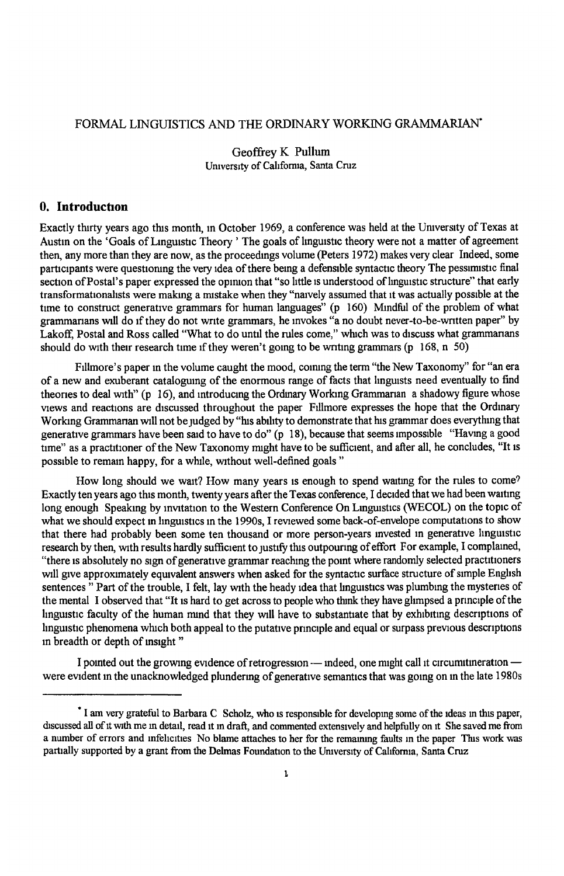# FORMAL LINGUISTICS AND THE ORDINARY WORKING GRAMMARIAN<sup>+</sup>

Geoffrey K Pullum Umvers1ty of Cahforrua, Santa Cruz

## **0. Introduction**

Exactly thirty years ago this month, in October 1969, a conference was held at the University of Texas at Austin on the 'Goals of Linguistic Theory ' The goals of linguistic theory were not a matter of agreement then, any more than they are now, as the proceedmgs volume (Peters 1972) makes very clear Indeed, some participants were questioning the very idea of there being a defensible syntactic theory The pessimistic final section of Postal's paper expressed the opinion that "so little is understood of linguistic structure" that early transformationalists were making a mistake when they "naively assumed that it was actually possible at the time to construct generative grammars for human languages" (p 160) Mmdful of the problem of what grammanans will do 1fthey do not write grammars, he mvokes "a no doubt never-to-be-wntten paper" by Lakoff, Postal and Ross called "What to do until the rules come," which was to discuss what grammanans should do with their research time if they weren't going to be writing grammars (p  $168$ , n  $50$ )

Fillmore's paper in the volume caught the mood, coining the term "the New Taxonomy" for "an era of a new and exuberant catalogumg of the enormous range of facts that lmgusts need eventually to find theories to deal with" (p 16), and mtroducmg the Ordmary Workmg Grammarian a shadowy figure whose views and reactions are discussed throughout the paper Fillmore expresses the hope that the Ordmary Working Grammanan will not be judged by "his ability to demonstrate that his grammar does everything that generative grammars have been said to have to do" (p 18), because that seems impossible "Having a good time" as a practitioner of the New Taxonomy might have to be sufficient, and after all, he concludes, "It is possible to remain happy, for a while, without well-defined goals "

How long should we wait? How many years is enough to spend waiting for the rules to come? Exactly ten years ago this month, twenty years after the Texas conference. I decided that we had been waiting long enough Speaking by invitation to the Western Conference On Linguistics (WECOL) on the topic of what we should expect in linguistics in the 1990s, I reviewed some back-of-envelope computations to show that there had probably been some ten thousand or more person-years invested in generative linguistic research by then, with results hardly sufficient to justify this outpouring of effort For example, I complained, "there 1s absolutely no sign of generative grammar reaclung the pomt where randomly selected practitioners will give approximately equivalent answers when asked for the syntactic surface structure of simple English sentences " Part of the trouble, I felt, lay with the heady idea that linguistics was plumbing the mysteries of the mental I observed that "It is hard to get across to people who think they have glimpsed a principle of the linguistic faculty of the human mind that they will have to substantiate that by exhibiting descriptions of linguistic phenomena which both appeal to the putative principle and equal or surpass previous descriptions m breadth or depth of ms1ght "

I pointed out the growing evidence of retrogression  $-$  indeed, one might call it circumitmeration  $$ were evident m the unacknowledged plundermg of generative semantics that was gomg on m the late 1980s

<sup>•</sup>I am very grateful to Barbara C Scholz, who 1s responsible for developing some of the ideas m this paper, discussed all of it with me in detail, read it in draft, and commented extensively and helpfully on it She saved me from a number of errors and infelicities No blame attaches to her for the remaining faults in the paper This work was partially supported by a grant from the Delmas Foundation to the University of California, Santa Cruz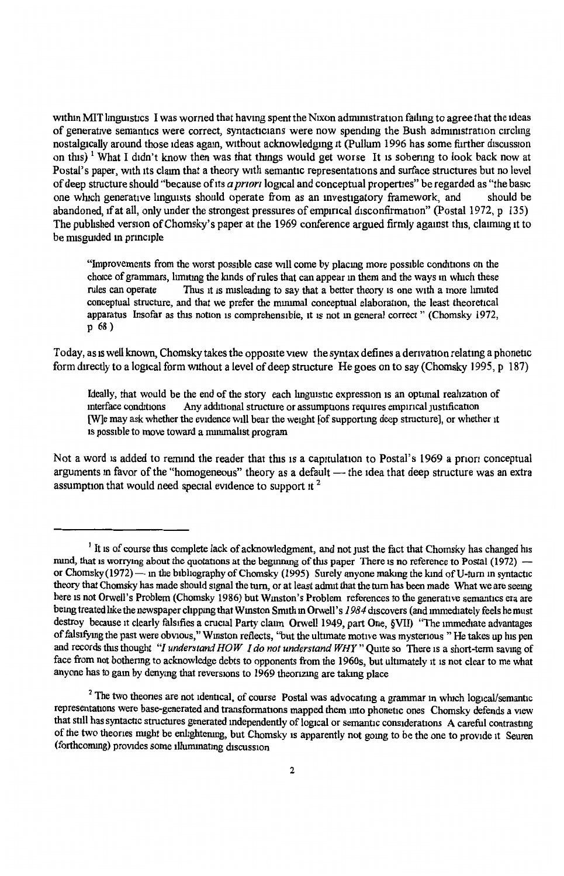within MIT linguistics I was worned that having spent the Nixon administration failing to agree that the ideas of generative semantics were correct, syntacticians were now spending the Bush administration circling nostalgically around those ideas again, without acknowledging it (Pullum 1996 has some further discussion on this)<sup>1</sup> What I didn't know then was that things would get worse It is sobering to look back now at Postal's paper, with its claim that a theory with semantic representations and surface structures but no level of deep structure should "because of its *a pnon* logical and conceptual properties" be regarded as "the basic one which generative linguists should operate from as an investigatory framework, and abandoned, if at all, only under the strongest pressures of empirical disconfirmation" (Postal 1972, p 135) The published version of Chomsky's paper at the 1969 conference argued firmly against this, claiming it to be misguided m prmc1ple

"Improvements from the worst possible case will come by placing more possible conditions on the choice of grammars, limiting the kinds of rules that can appear in them and the ways in which these<br>rules can operate Thus it is misleading to say that a better theory is one with a more limited Thus it is misleading to say that a better theory is one with a more limited conceptual structure, and that we prefer the mmunal conceptual elaboration, the least theoretical apparatus Insofar as this notion 1s comprehensible, 1t is not m general correct " (Chomsky 1972, p 68)

Today, as is well known, Chomsky takes the opposite view the syntax defines a derivation relating a phonetic form directly to a logical form without a level of deep structure He goes on to say (Chomsky 1995, p 187)

Ideally, that would be the end of the story each linguistic expression is an optimal realization of interface conditions Any additional structure or assumptions requires empirical justification Any additional structure or assumptions requires empirical justification [W]e may ask whether the evidence will bear the weight [of supportmg deep structure], or whether it is possible to move toward a minimalist program

Not a word is added to remind the reader that this is a capitulation to Postal's 1969 a priori conceptual arguments in favor of the "homogeneous" theory as a default - the idea that deep structure was an extra assumption that would need special evidence to support it<sup>2</sup>

<sup>&</sup>lt;sup>1</sup> It is of course this complete lack of acknowledgment, and not just the fact that Chomsky has changed his mund, that is worrying about the quotations at the beginning of this paper There is no reference to Postal ( $1972$ )  $$ or Chomsky (1972) - m the bibliography of Chomsky (1995) Surely anyone making the kind of U-turn in syntactic theory that Chomsky has made should signal the tum, or at least admit that the turn has been made What we are seemg here 1s not Orwell's Problem (Chomsky 1986) but Wmston's Problem references to the generative semantics era are bemg treated hke the newspaper chppmg that Wmston Snuth m Orwell's *1984* discovers (and Jmmedlately feels he must destroy because it clearly falsifies a crucial Party claim Orwell 1949, part One, §VII) "The immediate advantages of falsifying the past were obvious," Winston reflects, "but the ultimate motive was mysterious "He takes up his pen and records this thought *"/understand HOW I do not understand WHY"* Quite so There 1s a short-term savmg of face from not bothering to acknowledge debts to opponents from the 1960s, but ultimately it is not clear to me what anyone has to gam by denymg that reversions to 1969 theonzmg are taking place

 $2$  The two theories are not identical, of course Postal was advocating a grammar in which logical/semantic representations were base-generated and transformations mapped them mto phonetic ones Chomsky defends a view that still has syntactic structures generated mdependently of logical or semantic considerations A careful contrastmg of the two theones nught be enhghtemng, but Chomsky ts apparently not gomg to be the one to provide 1t Seuren (forthcoming) provides some illuminating discussion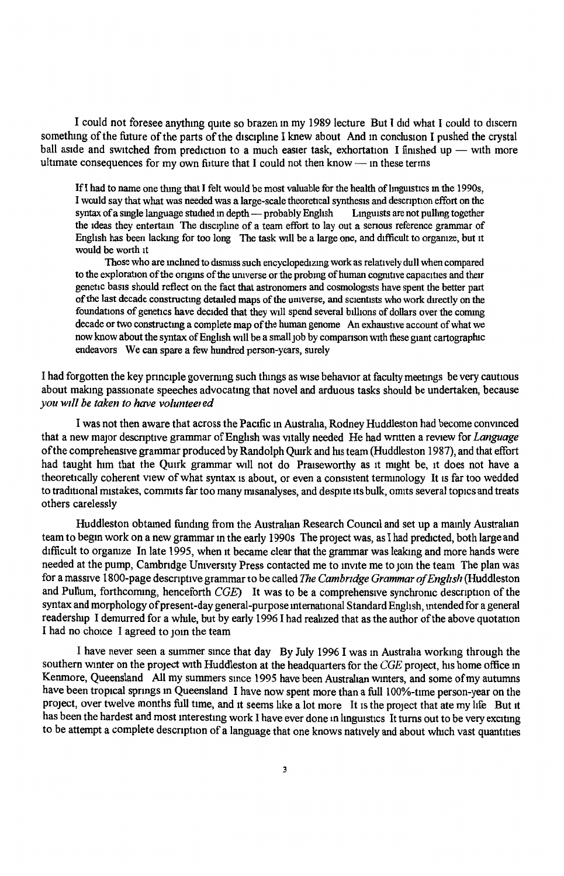I could not foresee anything quite so brazen m my 1989 lecture But I did what I could to discern something of the future of the parts of the discipline I knew about And in conclusion I pushed the crystal ball aside and switched from prediction to a much easier task, exhortation I finished up - with more ultimate consequences for my own future that I could not then know  $-$  in these terms

If I had to name one thing that I felt would be most valuable for the health of linguistics in the  $1990s$ . I would say that what was needed was a large-scale theoretical synthesis and description effort on the syntax of a single language studied in depth — probably English Linguists are not pulling together syntax of a single language studied in depth  $-$  probably English the ideas they entertam The dlsciphne of a team effort to lay out a senous reference grammar of English has been lackmg for too long The task will be a large one, and difficult to orgamze, but it would be worth 1t

Those who are mchned to disnuss such encyclopedizmg work as relatively dull when compared to the exploration of the origins of the universe or the probing of human cognitive capacities and their genetic basis should reflect on the fact that astronomers and cosmologists have spent the better part of the last decade constructing detailed maps of the universe, and scientists who work directly on the foundations of genetics have decided that they will spend several billions of dollars over the coming decade or two constructmg <sup>a</sup>complete map of the human genome An exhaustive account of what we now know about the syntax of English will be a small job by companson With these giant cartographic endeavors We can spare a few hundred person-years, surely

I had forgotten the key principle governing such things as wise behavior at faculty meetings be very cautious about making passionate speeches advocating that novel and arduous tasks should be undertaken, because *you w1ll be taken to have voluntee1 ed* 

I was not then aware that across the Pacific m Austraha, Rodney Huddleston had become convmced that a new major descriptive grammar of English was vitally needed He had written a review for *Language* of the comprehensive grammar produced by Randolph Quirk and hts team (Huddleston 1987), and that effort had taught him that the Quirk grammar will not do Praiseworthy as it might be, it does not have a theoretically coherent view of what syntax 1s about, or even a consistent termmology It 1s far too wedded to traditional mistakes, commits far too many misanalyses, and despite its bulk, omits several topics and treats others carelessly

Huddleston obtamed fundmg from the Austraban Research Council and set up a mamly Australian team to begm work on a new grammar m the early 1990s The project was, as I had predicted, both large and difficult to organize In late 1995, when it became clear that the grammar was leaking and more hands were needed at the pump, Cambridge University Press contacted me to invite me to join the team The plan was for a massive 1800-page descnpttve grammar to be called *The Cambridge Grammar of English* (Huddleston and Pullum, forthcoming, henceforth *CGE*) It was to be a comprehensive synchronic description of the syntax and morphology of present-day general-purpose international Standard English, intended for a general readership I demurred for a while, but by early 1996 I had realized that as the author of the above quotation I had no choice I agreed to join the team

<sup>I</sup>have never seen a summer smce that day By July 1996 I was m Austraha workmg through the southern winter on the project with Huddleston at the headquarters for the *CGE* project, his home office <sup>m</sup> Kenmore, Queensland All my summers smce 1995 have been Austrahan wmters, and some of my autumns have been tropical springs in Queensland I have now spent more than a full 100%-time person-year on the project, over twelve months full time, and it seems hke a lot more It is the project that ate my hfe But 1t has been the hardest and most interesting work I have ever done in linguistics It turns out to be very exciting to be attempt a complete descnption of a language that one knows natively and about whtch vast quantities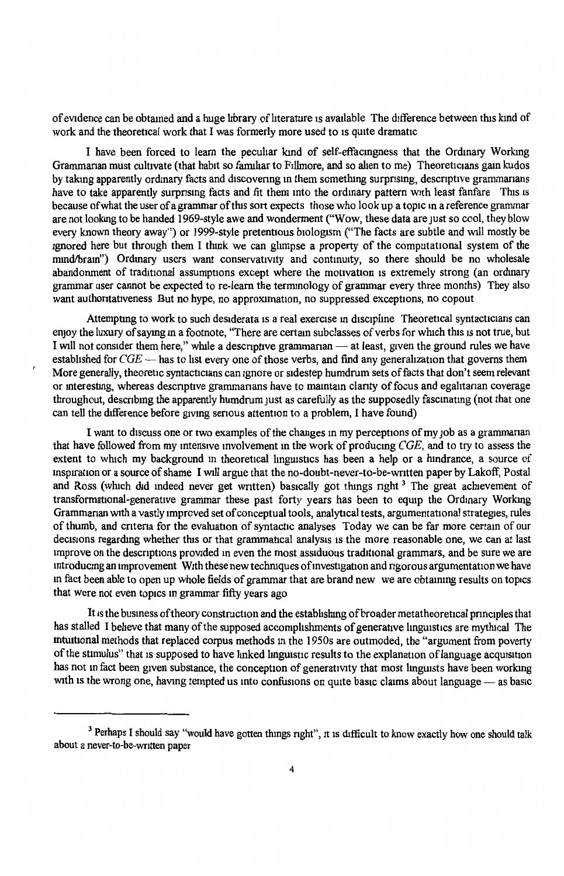of evidence can be obtained and a huge hbrary of hterature ts available The difference between this kmd of work and the theoretical work that I was formerly more used to 1s quite dramatic

I have been forced to learn the peculiar kmd of self-effacingness that the Ordinary Working Grammanan must cultivate (that habit so familiar to Fillmore, and so alien to me) Theoreticians gain kudos by taking apparently ordinary facts and discovering in them something surprising, descriptive grammarians have to take apparently surprising facts and fit them into the ordinary pattern with least fanfare This is because of what the user of a grammar of this sort expects those who look up a topic m a reference grammar are not looking to be handed 1969-style awe and wonderment ("Wow, these data are just so cool, they blow every known theory away") or 1999-style pretentious biologism ("The facts are subtle and will mostly be ignored here but through them I think we can glimpse a property of the computational system of the mind/bram") Ordinary users want conservativity and continuity, so there should be no wholesale abandonment of traditional assumptions except where the motivation is extremely strong (an ordinary grammar user cannot be expected to re-learn the termmology of grammar every three months) They also want authoritativeness But no hype, no approximation, no suppressed exceptions, no copout

Attempting to work to such desiderata is a real exercise in discipline Theoretical syntacticians can enjoy the luxury of saying in a footnote, "There are certain subclasses of verbs for which this is not true, but I will not consider them here," while a descriptive grammarian — at least, given the ground rules we have established for  $CGE$  — has to list every one of those verbs, and find any generalization that governs them More generally, theoretic syntacticians can ignore or sidestep humdrum sets of facts that don't seem relevant or interesting, whereas descriptive grammarians have to maintain clarity of focus and egalitarian coverage throughout, describing the apparently humdrum just as carefully as the supposedly fascinating (not that one can tell the difference before giving serious attention to a problem. I have found)

I want to discuss one or two examples of the changes in my perceptions of my job as a grammarian that have followed from my mtens1ve mvolvement m the work of producmg *CGE,* and to try to assess the extent to which my background in theoretical linguistics has been a help or a hindrance, a source of inspiration or a source of shame I will argue that the no-doubt-never-to-be-written paper by Lakoff, Postal and Ross (which did indeed never get written) basically got things right<sup>3</sup> The great achievement of transformational-generative grammar these past forty years has been to equip the Ordinary Working Grammanan with a vastly improved set of conceptual tools, analytical tests, argumentational strategies, rules of thumb, and cntena for the evaluation of syntactic analyses Today we can be far more certam of our decisions regarding whether this or that grammatical analysis is the more reasonable one, we can at last improve on the descriptions provided in even the most assiduous traditional grammars, and be sure we are introducing an improvement With these new techniques of investigation and ngorous argumentation we have m fact been able to open up whole fields of grammar that are brand new we are obtammg results on topics that were not even topics m grammar fifty years ago

It is the business of theory construction and the establishing of broader metatheoretical principles that has stalled I beheve that many of the supposed accomplishments of generative linguistics are mythical The mtmttonal methods that replaced corpus methods m the 1950s are outmoded, the "argument from poverty of the stimulus" that is supposed to have linked linguistic results to the explanation of language acquisition has not in fact been given substance, the conception of generativity that most linguists have been working with is the wrong one, having tempted us into confusions on quite basic claims about language - as basic

<sup>&</sup>lt;sup>3</sup> Perhaps I should say "would have gotten things right", it is difficult to know exactly how one should talk about a never~to-be-wntten paper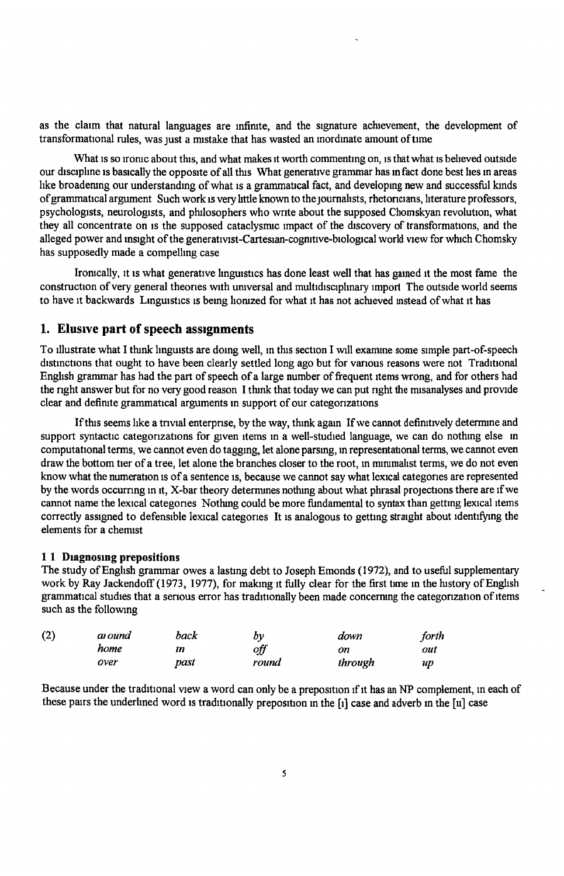as the claim that natural languages are infirute, and the signature achievement, the development of transformational rules, was just a mistake that has wasted an inordinate amount of time

What is so ironic about this, and what makes it worth commenting on, is that what is believed outside our discipline is basically the opposite of all this What generative grammar has in fact done best lies in areas like broadening our understanding of what is a grammatical fact, and developing new and successful kinds of grammatical argument Such work ts very httle known to the JOUmahsts, rhetoncians, hterature professors, psychologists, neurologists, and philosophers who wnte about the supposed Chomskyan revolution, what they all concentrate on ts the supposed cataclysmic impact of the discovery of transformations, and the alleged power and insight of the generativist-Cartesian-cognitive-biological world view for which Chomsky has supposedly made a compelling case

Ironically, it is what generative linguistics has done least well that has gained it the most fame the construction of very general theories with universal and multidisciplinary import The outside world seems to have it backwards Linguistics is being lionized for what it has not achieved instead of what it has

## **1. Elusive part of speech assignments**

To illustrate what I think linguists are domg well, in this sectton I will exarrune some simple part-of-speech distinctions that ought to have been clearly settled long ago but for various reasons were not Traditional English grammar has had the part of speech of a large number of frequent items wrong, and for others had the right answer but for no very good reason I think that today we can put right the misanalyses and provide clear and definite grammatical arguments in support of our categorizations

If this seems like a trivial enterprise, by the way, think again If we cannot definitively determine and support syntactic categorizations for given items in a well-studied language, we can do nothing else in computational terms, we cannot even do tagging, let alone parsing, in representational terms, we cannot even draw the bottom tier of a tree, let alone the branches closer to the root, in minimalist terms, we do not even know what the numeratton ts of a sentence ts, because we cannot say what lexical categories are represented by the words occurnng in 1t, X-bar theory determines nothmg about what phrasal projections there are 1f we cannot name the lexical categones Nothmg could be more fundamental to syntax than getting lexical items correctly assigned to defensible lexical categories It ts analogous to getting straight about identifying the elements for a chemist

#### **1 1 D1agnosmg prepositions**

The study of English grammar owes a lasting debt to Joseph Emonds (1972), and to useful supplementary work by Ray Jackendoff (1973, 1977), for making it fully clear for the first time in the history of English grammatical studies that a serious error has traditionally been made concerning the categorization of items such as the following

| (2) | aı ound | back | by    | down    | forth |
|-----|---------|------|-------|---------|-------|
|     | home    | m    | off   | on      | out   |
|     | over    | past | round | through | иp    |

Because under the traditional view a word can only be a preposition if it has an NP complement, in each of these pairs the underlined word is traditionally preposition in the  $[i]$  case and adverb in the  $[i]$  case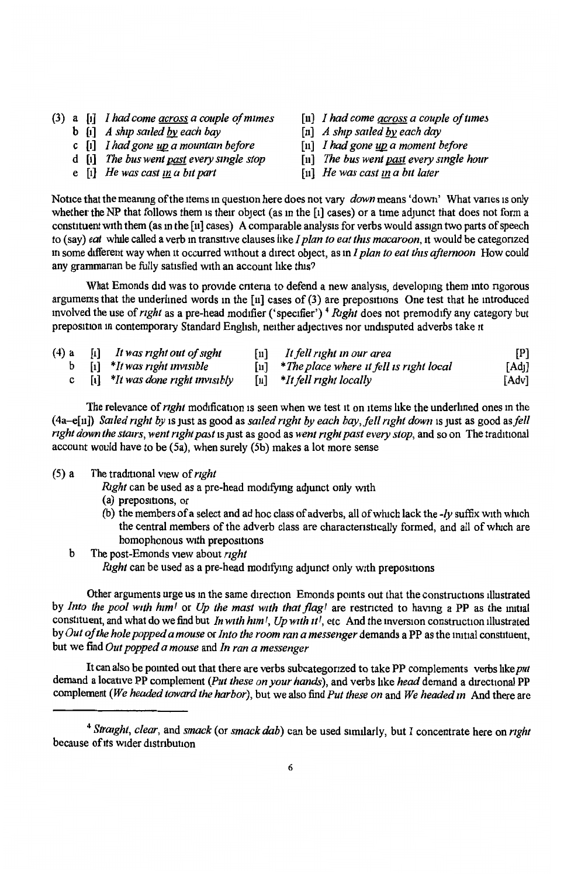- (3) a [1] *I had come <u>across</u> a couple of mimes* [11] *I had come <u>across</u> a couple of times* **b** [1] *A ship sailed by each bay* [11] *A ship sailed by each day* 
	- **b**  $\begin{bmatrix} 1 \\ 1 \end{bmatrix}$  *A ship sailed by each bay*  $\begin{bmatrix} 1 \\ 2 \end{bmatrix}$  *A ship sailed by each day*  $\begin{bmatrix} 1 \\ 2 \end{bmatrix}$  *I had vone un a moment before*  $\begin{bmatrix} 1 \\ 2 \end{bmatrix}$  *I had vone un a moment before*
	- c  $\begin{bmatrix} 1 \ 1 \end{bmatrix}$  *I had gone*  $\begin{bmatrix} 1 \ 2 \end{bmatrix}$  *<i>I had gone*  $\begin{bmatrix} 1 \ 2 \end{bmatrix}$  *<i>X*  $\begin{bmatrix} 1 \ 2 \end{bmatrix}$  *Z R R R R R R a moment before*  $\begin{bmatrix} 1 \ 1 \end{bmatrix}$  *The bus went past every single hour*
	- d [i] *The bus went <u>past</u> every single stop* [11] *The bus went <u>past</u> every specified in the state of the state of the state of the state of the was cast in a bit later*
	- $\mathbf{e}$   $\overline{\mathbf{h}}$  *He was cast in a bit part*
- 
- 
- 
- 
- 

Notice that the meanmg of the items m question here does not vary *down* means 'down' What vanes 1s only whether the NP that follows them is their object (as in the  $\lceil \cdot \rceil$  cases) or a time adjunct that does not form a constituent with them (as in the [11] cases) A comparable analysis for verbs would assign two parts of speech to (say) *eat* whtle called a verb m tranS1tive clauses bkeI *plan to eat this macaroon,* it would be categonzed <sup>m</sup>some different way when n occurred without a direct object, as m *I plan to eat this afternoon* How could any grammarian be fully satisfied with an account like this?

What Emonds did was to provide criteria to defend a new analysis, developing them into rigorous arguments that the underlined words m the [11] cases of (3) are prepositions One test that he introduced mvolved the use of *right* as a pre-head modifier ('specifier') <sup>4</sup>*Right* does not premod1fy any category but preposition in contemporary Standard English, neither adjectives nor undisputed adverbs take it

(4) <sup>a</sup> b c [1] *It was nght out of sight*  [1] *\*It was nght mv1S1ble*  [n] *It/ell right <sup>m</sup>our area*  [11] *\*The place where ztfe//* zs *nght local*  [11] *\*It/ell nght locally*  [P]  $\overline{A}$  $\overline{d}$ [Adv]

[1] *\*It was done right mv1S1bly* 

- The relevance of *right* modification is seen when we test it on items like the underlined ones in the (4a-e[11]) *Sazled nght by* is1ust as good as *sailed right by each bay,fell right down* ts just as good as *fell nght down the stairs, went right pai'tl* 1s Just as good as *went nght past every stop,* and so on The trad1t10nal account would have to be  $(5a)$ , when surely  $(5b)$  makes a lot more sense
- (5) a The traditional view of *right*

*Right* can be used as a pre-head modifying adjunct only with

- (a) prepositions, or
- (b) the members of a select and ad hoc class of adverbs, all of wluch lack the *-ly* suffix with which the central members of the adverb class are characteristically formed, and all of which are homophonous with prepositions
- b The post-Emonds view about *right Right* can be used as a pre-head modifying adjunct only with prepositions

Other arguments urge us m the same direction Emonds pomts out that the constructions illustrated by *Into the pool with h1mf* or *Up the mast with that flag!* are restncted to having a PP as the m1ttal constituent, and what do we find but *In with h1m I, Up w1th ur,* etc And the mvers1on construction illustrated by *Out of the hole popped a mouse* or *Into the room ran a messenger* demands a PP as the 1mt1al constituent, but we find *Out popped a mouse* and *In ran a messenger* 

It can also be pomted out that there are verbs subcategonzed to take PP complements verbs hke *pu<sup>t</sup>* demand a locative PP complement *(Put these on your hands),* and verbs hke *head* demand a directional PP complement *(We headed toward the harbor),* but we also find *Put these on* and *We headed m* And there are

<sup>4</sup>*Straight, clear,* and *smack* (or *smack dab)* can be used similarly, but I concentrate here on *nght*  because of its wider distribution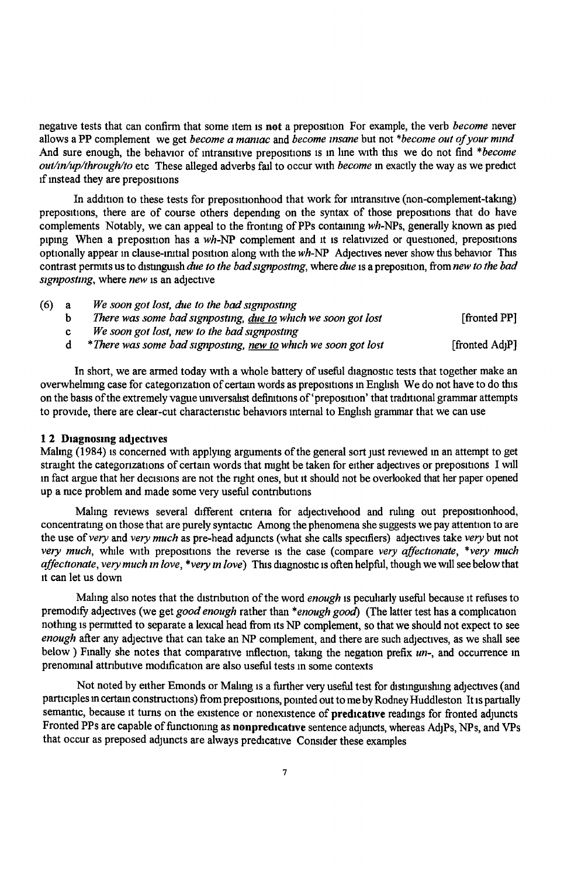negative tests that can confirm that some item is not a preposition For example, the verb *become* never allows a PP complement we get *become a mamac* and *become msane* but not *\*become out of your mmd*  And sure enough, the behavior of intransitive prepositions is in line with this we do not find \*become *outlmluplthroughlto* etc These alleged adverbs fail to occur with *become* m exactly the way as we predict 1f mstead they are prepositions

In addition to these tests for prepositionhood that work for intransitive (non-complement-taking) prepositions, there are of course others depending on the syntax of those prepositions that do have complements Notably, we can appeal to the fronting of PPs containing wh-NPs, generally known as pied piping When a preposition has a *wh*-NP complement and it is relativized or questioned, prepositions optionally appear m clause-m1t1al position along with the *wh-NP* Adjectives never show tlus behavior This contrast permits us to distinguish *due to the bad signposting*, where *due* is a preposition, from *new to the bad signpostmg,* where *new* is an adjective

| $(6)$ a | We soon got lost, due to the bad signposting                   |                             |
|---------|----------------------------------------------------------------|-----------------------------|
|         | There was some bad signposting, due to which we soon got lost  | <b>fronted PP1</b>          |
|         | We soon got lost, new to the bad signposting                   |                             |
|         | *There was some bad signposting, new to which we soon got lost | [fronted Ad <sub>1</sub> P] |

In short, we are armed today with a whole battery of useful diagnostic tests that together make an overwhelming case for categonization of certain words as prepositions in English We do not have to do this on the basis of the extremely vague universahst definitions of 'preposition' that traditional grammar attempts to provide, there are clear-cut characteristic behaviors internal to English grammar that we can use

### **12 Diagnosing adjectives**

Maling (1984) is concerned with applying arguments of the general sort just reviewed in an attempt to get straight the categorizations of certain words that might be taken for either adjectives or prepositions I will in fact argue that her decisions are not the right ones, but it should not be overlooked that her paper opened up a nice problem and made some very useful contributions

Maling reviews several different criteria for adjectivehood and ruling out prepositionhood, concentratmg on those that are purely syntactic Among the phenomena she suggests we pay attention to are the use of *very* and *very much* as pre-head adjuncts (what she calls specifiers) adjectives take *very* but not *very much*, while with prepositions the reverse is the case (compare very affectionate, \*very much *affectionate, very much in love, \*very in love*) This diagnostic is often helpful, though we will see below that 1t can let us down

Maling also notes that the distribution of the word *enough* is peculiarly useful because it refuses to premodify adjectives (we get *good enough* rather than *\*enough good*) (The latter test has a complication nothing is permitted to separate a lexical head from its NP complement, so that we should not expect to see *enough* after any adjective that can take an NP complement, and there are such adjectives, as we shall see below) Finally she notes that comparative inflection, taking the negation prefix *un*-, and occurrence in prenominal attributive modification are also useful tests in some contexts

Not noted by either Emonds or Maling is a further very useful test for distinguishing adjectives (and participles in certain constructions) from prepositions, pointed out to me by Rodney Huddleston It is partially semantic, because it turns on the existence or nonexistence of **predicative** readings for fronted adjuncts Fronted PPs are capable of functioning as **nonpredicative** sentence adjuncts, whereas AdjPs, NPs, and VPs that occur as preposed adjuncts are always predicative Consider these examples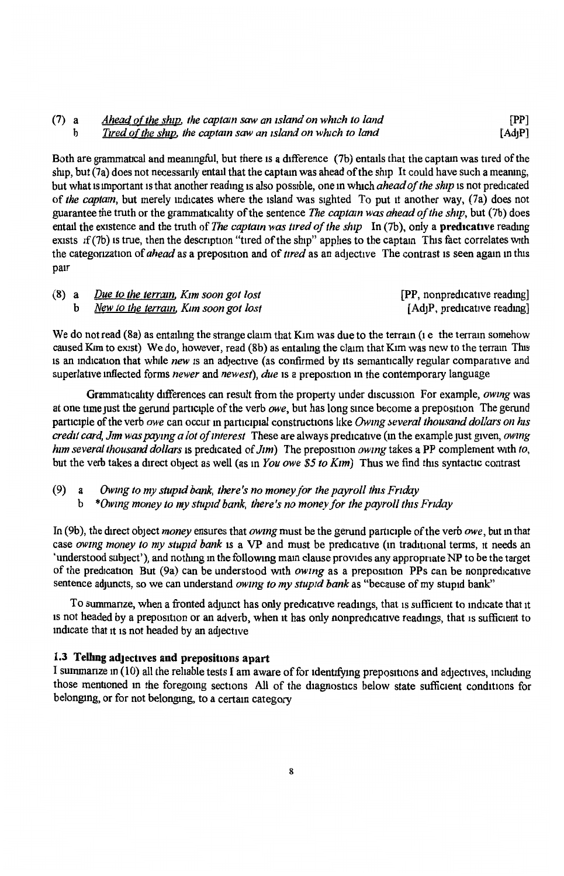#### (7) a b *Ahead of the ship, the captain saw an island on which to land Tired of the ship, the captain saw an island on which to land* [PP] [Ad<sub>I</sub>P]

Both are grammatical and meaningful, but there is a difference (7b) entails that the captain was tired of the ship, but (7a) does not necessarily entail that the captam was ahead of the ship It could have such a mearung, but what ts unportant 1s that another readmg ts also possible, one m which *ahead of the ship* is not predicated of *the captain,* but merely md1cates where the island was sighted To put 1t another way, (7a) does not guarantee the truth or the grammaticality of the sentence *The captain was ahead of the ship*, but (7b) does entail the existence and the truth of *The captain was tired of the ship* In (7b), only a **predicative** reading exists if (7b) is true, then the description "tired of the ship" applies to the captain This fact correlates with the categonization of *ahead* as a preposition and of *tired* as an adjective The contrast is seen again in this pair

|  | (8) a Due to the terrain, Kim soon got lost | [PP, nonpredicative reading]             |
|--|---------------------------------------------|------------------------------------------|
|  | b New to the terrain, Kim soon got lost     | [Ad <sub>1</sub> P, predicative reading] |

We do not read  $(8a)$  as entailing the strange claim that Kim was due to the terrain  $(i e$  the terram somehow caused Kim to exist) We do, however, read (8b) as entailing the claim that Kim was new to the terram This 1s an md1cat1on that whtle *new* 1s an adjective (as confirmed by tts semantically regular comparative and superlative inflected forms *newer* and *newest*), *due* is a preposition in the contemporary language

Grammaticality differences can result from the property under discussion For example, *owing* was at one time just the gerund participle of the verb *owe*, but has long since become a preposition The gerund participle of the verb *owe* can occur in participial constructions like *Owing several thousand dollars on his credit card, Jim was paying a lot of interest* These are always predicative (in the example just given, *owing him several thousand dollars is predicated of <i>Jim*) The preposition *owing* takes a PP complement with *to*, but the verb takes a direct object as well (as in *You owe \$5 to Kim*) Thus we find this syntactic contrast

(9) a *Owmg to my stupid bank, there's no money for the payroll this Fnday* 

b *\*Owmg money to my stupid bank, there's no money for the payroll this Fnday* 

In (9b ), the direct object *money* ensures that *owmg* must be the gerund participle of the verb *owe,* but m that case *owing money to my stupid bank* is a VP and must be predicative (in traditional terms, it needs an 'understood subject'), and nothing m the following mam clause provides any appropriate NP to be the target of the predication But (9a) can be understood with *owing* as a preposition PPs can be nonpredicative sentence adjuncts, so we can understand *owmg to my stupid bank* as "because of my stupid bank"

To summanze, when a fronted adjunct has only predicative readings, that is sufficient to indicate that it 1s not headed by a preposition or an adverb, when it has only nonpredicative readings, that is sufficient to indicate that it is not headed by an adjective

#### **1.3 Telling adjectives and prepositions apart**

I summarize in (10) all the reliable tests I am aware of for identifying prepositions and adjectives, including those mentioned in the foregoing sections All of the diagnostics below state sufficient conditions for belongmg, or for not belongmg, to a certam category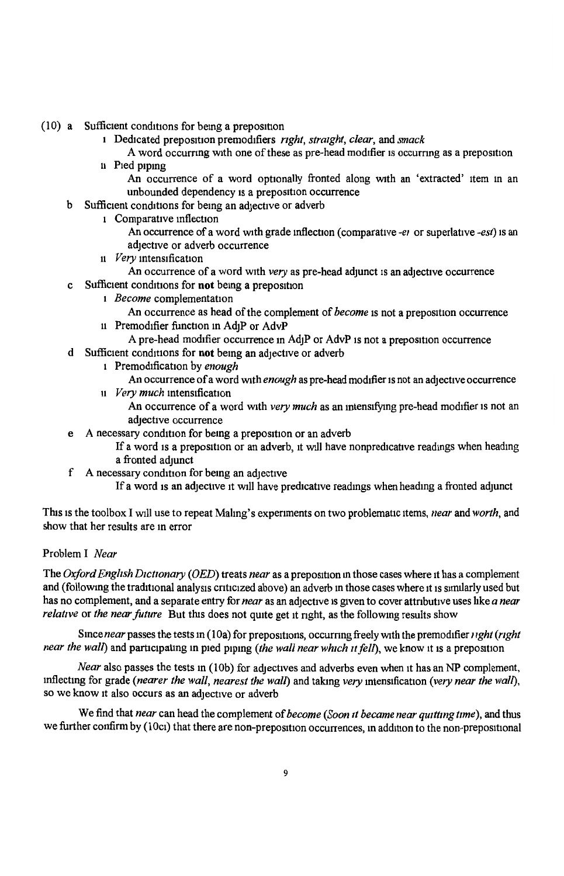- (10) a Sufficient conditions for bemg a preposition
	- 1 Dedicated preposition premodifiers *right, straight, clear*, and *smack*
	- A word occurring with one of these as pre-head modifier is occurring as a preposition 11 Pied piping
		- An occurrence of a word optionally fronted along with an 'extracted' item in an unbounded dependency is a preposition occurrence
	- b Sufficient conditions for being an adjective or adverb
		- 1 Comparative inflection
			- An occurrence of a word with grade inflection (comparative *-ei* or superlative *-est*) is an adjective or adverb occurrence
		- <sup>11</sup>*Very* mtens1ficat1on
		- An occurrence of a word with *very* as pre-head adjunct is an adjective occurrence
	- c Sufficient conditions for **not** being a preposition
		- 1 *Become* complementation
		- An occurrence as head of the complement of *become* is not a preposition occurrence 11 Premodifier function in Ad<sub>1</sub>P or AdvP
		- A pre-head modifier occurrence in Ad<sub>1</sub>P or AdvP is not a preposition occurrence
	- d Sufficient conditions for **not** being an adjective or adverb
		- 1 Premodification by *enough* 
			- An occurrence of a word With *enough* as pre-head modifier ts not an adjective occurrence
		- <sup>11</sup>*Very much* mtens1ficat1on
			- An occurrence of a word with *very much* as an intensifying pre-head modifier is not an adjective occurrence
	- e A necessary condition for being a preposition or an adverb
		- If a word is a preposition or an adverb, it will have nonpredicative readings when heading a fronted adjunct
	- f A necessary condition for being an adjective
		- If a word 1s an adjective 1t Will have predicative readmgs when headmg a fronted adjunct

This ts the toolbox I will use to repeat Malmg' s experiments on two problematic items, *near* and *worth,* and show that her results are in error

## Problem I *Near*

The *Oxford Engllsh D1ct10nary (OED)* treats *near* as a preposition m those cases where 1t has a complement and (following the traditional analysis criticized above) an adverb in those cases where it is similarly used but has no complement, and a separate entry for *near* as an adjective is given to cover attributive uses like *a near relative* or *the near future* But this does not quite get it nght, as the following results show

Since *near* passes the tests in (10a) for prepositions, occurring freely with the premodifier *i ight* (*right near the wall*) and participating in pied piping *(the wall near which it fell)*, we know it is a preposition

*Near* also passes the tests in (10b) for adjectives and adverbs even when it has an NP complement, mflecting for grade (nearer the wall, nearest the wall) and taking *very* intensification (very near the wall), so we know 1t also occurs as an adjective or adverb

We find that *near* can head the complement of *become (Soon 1t became near qu1ttmg time),* and thus we further confirm by (10ci) that there are non-preposition occurrences, in addition to the non-prepositional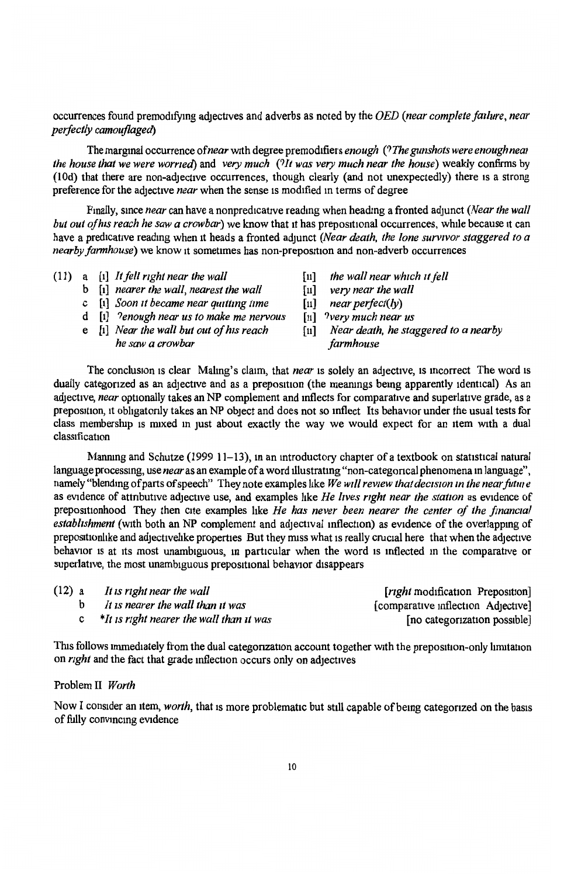## occurrences found premod1fymg adjectives and adverbs as noted by the *OED (near complete failure, near perfectly camouflaged)*

The marginal occurrence of *near* with degree premodifiers *enough* (? The gunshots were enough near *the house that we were warned)* and *very much (?It was very much near the house)* weakly confirms by (lOd) that there are non-adjective occurrences, though clearly (and not unexpectedly) there 1s a strong preference for the adjective *near* when the sense 1s modified m terms of degree

Finally, since *near* can have a nonpredicative reading when heading a fronted adjunct *(Near the wall but out of his reach he saw a crowbar*) we know that it has prepositional occurrences, while because it can have a predicative readmg when 1t heads a fronted adjunct *(Near death, the lone survivor staggered to a nearby farmhouse*) we know it sometimes has non-preposition and non-adverb occurrences

- (11) a [1] *It fell nght near the wall* 
	- b [1] *nearer the wall, nearest the wall*
	- c [1] *Soon 11 became near qu1ttmg time*
	- d [1] *?enough near us to make me nervous*
	- e [1] *Near the wall but out of his reach he saw a crowbar*
- [11] *the wall near which it fell*
- [11] *very near the wall*
- $near$  *perfect(ly)*
- [11] *?very much near us*
- [11] *Near death, he staggered to a nearby farmhouse*

The conclusion 1s clear Malmg's claim, that *near* 1s solely an adjective, 1s mcorrect The word 1s dually categorized as an adjective and as a preposition (the meanings being apparently identical) As an adjective, *near* optionally takes an NP complement and mflects for comparative and superlative grade, as a preposition, it obligatorly takes an NP object and does not so inflect Its behavior under the usual tests for class membership is mixed in just about exactly the way we would expect for an item with a dual classification

Manmng and Schutze (1999 11-13), man mtroductory chapter of a textbook on statistical natural language processmg, use *near* as an example of a word tllustratmg "non-categorical phenomena m language", namely "blending of parts of speech" They note examples like *We will review that decision in the near future* as evidence of attributive adjective use, and examples like *He lives right near the station* as evidence of prepositionhood They then cite examples like *He has never been nearer the center of the financial establishment* (with both an NP complement and adjectival inflection) as evidence of the overlapping of prepositionlike and adjectivelike properties But they miss what is really crucial here that when the adjective behavior 1s at its most unambiguous, m particular when the word 1s mflected m the comparative or superlative, the most unambiguous prepositional behavior disappears

| (12) a | It is right near the wall                | [ <i>right</i> modification Preposition] |
|--------|------------------------------------------|------------------------------------------|
|        | It is nearer the wall than it was        | [comparative inflection Adjective]       |
|        | *It is right nearer the wall than it was | [no categorization possible]             |

This follows immediately from the dual categonzation account together with the preposition-only limitation on *right* and the fact that grade inflection occurs only on adjectives

### Problem II *Worth*

Now I consider an item, *worth*, that is more problematic but still capable of being categorized on the basis of fully convmcmg evidence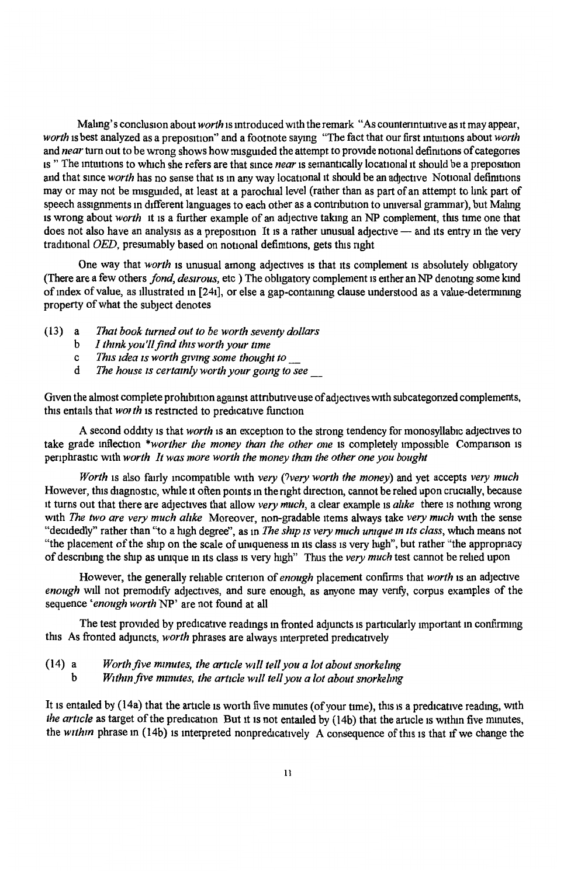Maling's conclusion about *worth* is introduced with the remark "As counterintuitive as it may appear, *worth* is best analyzed as a preposition" and a footnote saying "The fact that our first intuitions about *worth* and *near* turn out to be wrong shows how misguided the attempt to provide notional definitions of categories 1s " The intuitions to which she refers are that since *near* is semantically locational it should be a preposition and that since *worth* has no sense that is in any way locational it should be an adjective Notional definitions may or may not be misguided, at least at a parochial level (rather than as part of an attempt to link part of speech assignments in different languages to each other as a contribution to universal grammar), but Maling ts wrong about *worth* 1t ts a further example of an adjective taking an NP complement, this time one that does not also have an analysis as a preposition It is a rather unusual adjective  $-$  and its entry in the very traditional *OED,* presumably based on notional defiruttons, gets this nght

One way that *worth* is unusual among adjectives 1s that its complement ts absolutely obligatory (There are a few others *fond, desirous,* etc ) The obhgatory complement is either an NP denotmg some kmd of mdex of value, as illustrated m [241], or else a gap-contrurung clause understood as a value-deternurung property of what the subject denotes

- (13) a *That book turned out to be worth seventy dollars* 
	- b *I thmk you'll find this worth your time*
	- c *This uiea 1s worth grvmg some thought to\_*
	- d *The house 1s certamly worth your gomg to see* \_

Given the almost complete prohibition against attributive use of adjectives with subcategonzed complements, this entails that *worth* is restricted to predicative function

A second oddity is that *worth* is an exception to the strong tendency for monosyllabic adjectives to take grade inflection *\*worther the money than the other one* is completely impossible Comparison is periphrastic with *worth* It was more worth the money than the other one you bought

*Worth* is also fairly mcompattble with *very (?very worth the money)* and yet accepts *very much*  However, this diagnostic, while it often points in the right direction, cannot be relied upon crucially, because 1t turns out that there are adjectives that allow *very much,* a clear example 1s *alike* there 1s nothmg wrong with *The two are very much alike* Moreover, non-gradable items always take *very much* with the sense "decidedly" rather than "to a high degree", as m *The ship 1s very much umque m Its class,* which means not "the placement of the ship on the scale of uniqueness in its class is very high", but rather "the appropriacy of descnbmg the ship as umque m its class ts very high" Thus the *very much* test cannot be relied upon

However, the generally rehable cntenon of *enough* placement confirms that *worth* is an adjective enough will not premodify adjectives, and sure enough, as anyone may verify, corpus examples of the sequence *'enough worth* NP' are not found at alt

The test provided by predicative readings in fronted adjuncts is particularly important in confirming this As fronted adjuncts, *worth* phrases are always mterpreted predicattvely

(14) a b *Worth five mmutes, the article will tell you a lot about snorkelmg W1thm five mmutes, the artzcle wrl/ tell you a lot about snorkelmg* 

It is entailed by (14a) that the article is worth five minutes (of your time), this is a predicative reading, with *the article* as target of the predication But it is not entailed by (14b) that the article is within five minutes, the *within* phrase in (14b) is interpreted nonpredicatively A consequence of this is that if we change the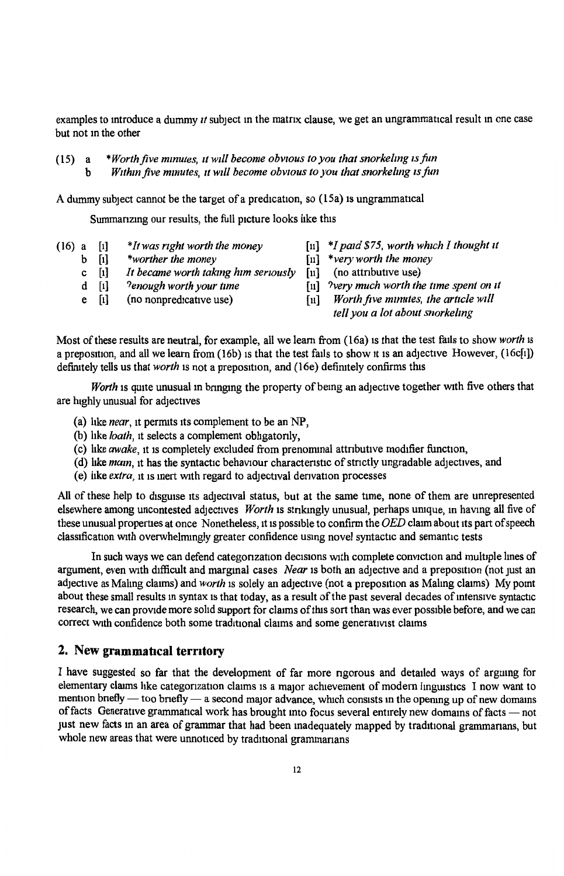examples to introduce a dummy *it* subject in the matrix clause, we get an ungrammatical result in one case but not m the other

(15) a b *\*Worth.five mmutes, llw1ll become obvwus to you that snorkelmg rs fun*  Within five minutes, it will become obvious to you that snorkeling is fun

A dummy subject cannot be the target of a predication, so  $(15a)$  is ungrammatical

Summarizing our results, the full picture looks like this

- (16) a [1] *\*It was right worth the money* [ii] *\*I paid \$75, worth which I thought it*<br>b [i] *\*worther the money* [11] *\*very worth the money* 
	-
	- b [1] *\*worther the money* [11] *\*very worth the money*  c [1] It became worth taking him seriously<br>d [1] <sup>9</sup>enough worth your time
	-
	-
- 
- 
- 
- *d a a a i i i i i i i i yery much worth the time spent on <i>II I North five mimites, the article will III Worth five mimites, the article will*
- e [1] (no nonpredicative use) [11] *Worth five minutes, the article will tell you a lot about snorkelmg*

Most of these results are neutral, for example, all we learn from (16a) 1s that the test fails to show *worth* is a preposition, and all we learn from (16b) is that the test fails to show it is an adjective However,  $(16cf1)$ definitely tells us that *worth* is not a preposition, and (16e) definitely confirms this

*Worth* is quite unusual in bringing the property of being an adjective together with five others that are highly unusual for adjectives

- (a) like *near*, it permits its complement to be an NP,
- (b) like *loath*, it selects a complement obligatorily,
- (c) like *awake*, it is completely excluded from prenominal attributive modifier function,
- (d) like *mam*, it has the syntactic behaviour characteristic of strictly ungradable adjectives, and
- (e) hke *extra,* it 1s mert with regard to adjectival denvatton processes

All of these help to disguise its adjectival status, but at the same time, none of them are unrepresented elsewhere among uncontested adjectives *Worth* 1s stnkmgly unusual, perhaps umque, m havmg all five of these unusual properties at once Nonetheless, it ts possible to confirm the *OED* claim about its part of speech classification wtth overwhelmmgly greater confidence usmg novel syntactic and semantic tests

In such ways we can defend categonzation decisions with complete conviction and multiple lines of argument, even with difficult and marginal cases *Near* is both an adjective and a preposition (not just an adjective as Mahng claims) and *worth* is solely an adjective (not a preposition as Malmg claims) My pomt about these small results in syntax is that today, as a result of the past several decades of intensive syntactic research, we can provide more sohd support for claims of this sort than was ever possible before, and we can correct with confidence both some traditional claims and some generativist claims

## **2. New grammatical terntory**

I have suggested so far that the development of far more ngorous and detailed ways of arguing for elementary claims like categorization claims is a major achievement of modern linguistics I now want to mention bnefly — too bnefly — a second major advance, which consists in the opening up of new domains of facts Generative grammatical work has brought into focus several entirely new domains of facts - not just new facts in an area of grammar that had been inadequately mapped by traditional grammarians, but whole new areas that were unnoticed by traditional grammarians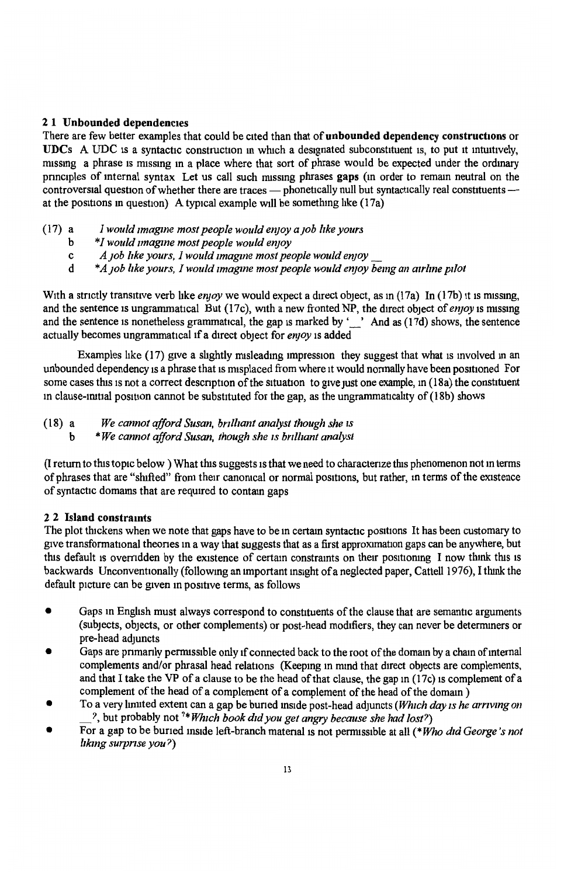## 21 Unbounded dependencies

There are few better examples that could be cited than that of unbounded dependency constructions or UDCs A UDC is a syntactic construction in which a designated subconstituent is, to put it intuitively, missing a phrase is missing in a place where that sort of phrase would be expected under the ordinary principles of internal syntax Let us call such missing phrases gaps (in order to remain neutral on the controversial question of whether there are traces - phonetically null but syntactically real constituents at the positions in question) A typical example will be something like  $(17a)$ 

- (17) a *I would 1magme most people would en;oy a ;ob llke yours* 
	- b *\*I would 1magme most people would en;oy*
	- c *A ;ob like yours, I would 1magme most people would en;oy* \_
	- d \* *A;ob like yours, I would rmagme most people would en;oy bemg an air/me pilot*

With a strictly transitive verb like *enjoy* we would expect a direct object, as in (17a) In (17b) it is missing. and the sentence is ungrammatical But (17c), with a new fronted NP, the direct object of *enjoy* is missing and the sentence is nonetheless grammatical, the gap is marked by '\_' And as (17d) shows, the sentence actually becomes ungrammatical 1f a direct object for *en;oy* 1s added

Examples hke {17) give a shghtly nusleadmg impression they suggest that what is involved m an unbounded dependency is a phrase that is misplaced from where it would normally have been positioned For some cases this is not a correct description of the situation to give just one example, in (18a) the constituent in clause-initial position cannot be substituted for the gap, as the ungrammaticality of  $(18b)$  shows

(18) a b *We cannot afford Susan, bnlilant analyst though she 1s \*We cannot afford Susan, though she 1s bnlilant analyst* 

(I return to this topic below) What this suggests is that we need to characterize this phenomenon not in terms of phrases that are "shifted" from their canonical or normal positions, but rather, in terms of the existence of syntactic domams that are required to contam gaps

#### 2 2 Island constramts

The plot thickens when we note that gaps have to be in certain syntactic positions It has been customary to give transformational theories in a way that suggests that as a first approximation gaps can be anywhere, but this default is overridden by the existence of certain constraints on their positioning I now think this is backwards Unconventionally (following an important insight of a neglected paper, Cattell 1976), I think the default picture can be given m positive terms, as follows

- Gaps in English must always correspond to constituents of the clause that are semantic arguments (subjects, objects, or other complements) or post-head modifiers, they can never be determiners or pre-head adjuncts
- Gaps are primarily permissible only if connected back to the root of the domain by a chain of internal complements and/or phrasal head relations (Keepmg in mmd that direct objects are complements, and that I take the VP of a clause to be the head of that clause, the gap in (17c) 1s complement ofa complement of the head of a complement of a complement of the head of the domain)
- To a very lnruted extent can a gap be buried ms1de post-head adjuncts *(Which day 1s he amvmg on*  \_?, but probably not *<sup>1</sup> \* Wh1eh book did you get angry because she had lost?)*
- For a gap to be buried inside left-branch material is not permissible at all (\*Who did George's not */Jkmg surprise you?)*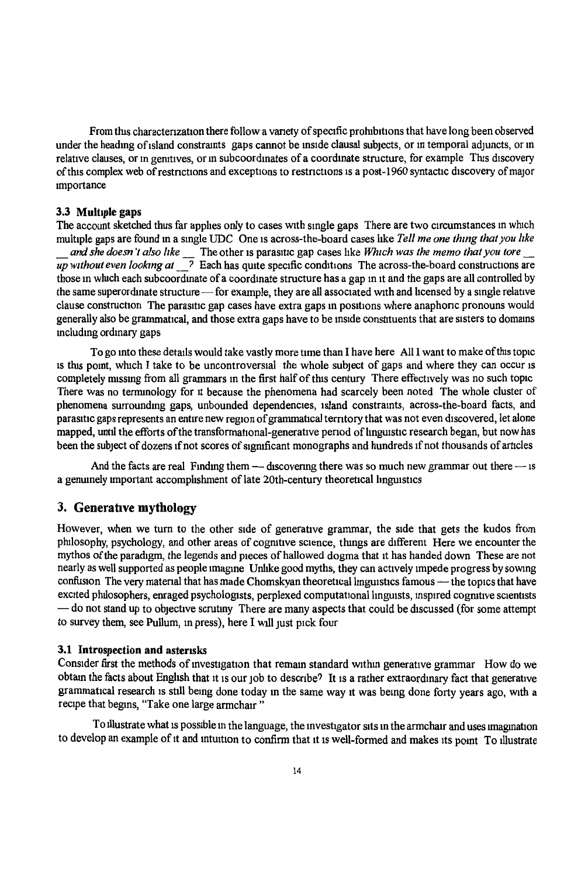From this characterization there follow a variety of specific prohibitions that have long been observed under the heading of island constraints gaps cannot be inside clausal subjects, or in temporal adjuncts, or in relative clauses, or in genitives, or in subcoordinates of a coordinate structure, for example This discovery of this complex web of restrictions and exceptions to restrictions is a post-1960 syntactic discovery of major tmportance

#### 3.3 Multiple gaps

The account sketched thus far applies only to cases with single gaps There are two circumstances in which multiple gaps are found in a single UDC One is across-the-board cases like *Tell me one thing that you like \_and she doesn 't also like* \_ The other 1s parasitic gap cases hke *Which was the memo that you tore* \_ *up without even looking at*  $\frac{1}{\sqrt{2}}$  Each has quite specific conditions The across-the-board constructions are those m whtch each subcoordmate of a coordmate structure has a gap m 1t and the gaps are all controlled by the same superordinate structure-for example, they are all associated with and licensed by a single relative clause construction The parasitic gap cases have extra gaps in positions where anaphone pronouns would generally also be grammatical, and those extra gaps have to be inside constituents that are sisters to domains mcludmg ordinary gaps

To go mto these details would take vastly more time than I have here All I want to make ofthts topic 1s thts pomt, whtch I take to be uncontroversial the whole subject of gaps and where they can occur 1s completely missing from all grammars in the first half of this century There effectively was no such topic There was no temunology for it because the phenomena had scarcely been noted The whole cluster of phenomena surroundmg gaps, unbounded dependencies, island constramts, across-the-board facts, and parasitic gaps represents an entire new region of grammatical territory that was not even discovered, let alone mapped, until the efforts of the transformational-generative period of linguistic research began, but now has been the subject of dozens if not scores of significant monographs and hundreds if not thousands of articles

And the facts are real Finding them  $-$  discovering there was so much new grammar out there  $-$  is a genumely important accomplishment of late 20th-century theoretical linguistics

## 3. Generative mythology

However, when we turn to the other side of generative grammar, the side that gets the kudos from philosophy, psychology, and other areas of cognitive science, things are different Here we encounter the mythos of the paradigm, the legends and pieces of hallowed dogma that it has handed down These are not nearly as well supported as people 1magme Unhke good myths, they can actively impede progress by sowing confusion The very material that has made Chomskyan theoretical linguistics famous - the topics that have excited philosophers, enraged psychologists, perplexed computational linguists, inspired cognitive scientists - do not stand up to objective scrutiny There are many aspects that could be discussed (for some attempt to survey them, see Pullum, in press), here I will just pick four

## 3.1 Introspection and asterasks

Consider first the methods of investigation that remain standard within generative grammar How do we obtam the facts about English that it is our job to describe? It is a rather extraordinary fact that generative grammatical research 1s still bemg done today m the same way It was bemg done forty years ago, with a recipe that begins, "Take one large armchair"

To illustrate what is possible in the language, the investigator sits in the armchair and uses imagination to develop an example of it and intuition to confirm that it is well-formed and makes its point To illustrate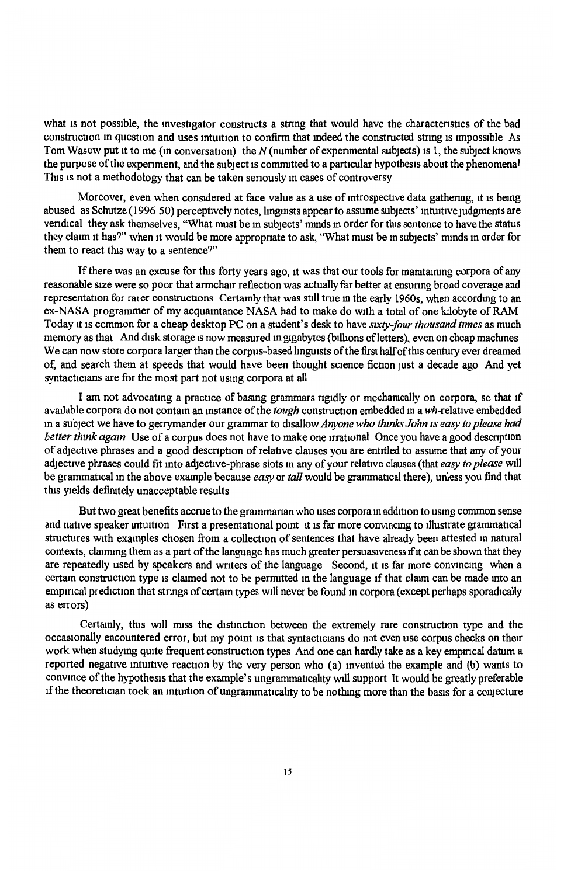what is not possible, the investigator constructs a string that would have the charactenstics of the bad construction in question and uses intuition to confirm that indeed the constructed string is impossible As Tom Wasow put 1t to me (in conversation) the *N* (number of expenmental subjects) 1s l, the subject knows the purpose of the experiment, and the subject is committed to a particular hypothesis about the phenomenal This 1s not a methodology that can be taken senously m cases of controversy

Moreover, even when considered at face value as a use of introspective data gathering, it is being abused as Schutze (1996 50) perceptively notes, linguists appear to assume subjects' intuitive judgments are vendical they ask themselves, "What must be m subjects' mmds m order for this sentence to have the status they claim it has?" when it would be more appropnate to ask, "What must be m subjects' mmds m order for them to react this way to a sentence?"

If there was an excuse for this forty years ago, it was that our tools for maintaining corpora of any reasonable size were so poor that armchair reflection was actually far better at ensuring broad coverage and representation for rarer constructions Certamly that was still true m the early 1960s, when accordmg to an ex-NASA programmer of my acquamtance NASA had to make do with a total of one kilobyte of RAM Today it 1s common for a cheap desktop PC on a student's desk to have *s1xty-four thousand times* as much memory as that And disk storage is now measured in gigabytes (billions of letters), even on cheap machines We can now store corpora larger than the corpus-based linguists of the first half of this century ever dreamed of, and search them at speeds that would have been thought science fiction just a decade ago And yet syntacticians are for the most part not using corpora at all

I am not advocating a practice of basmg grammars rigidly or mechanically on corpora, so that 1f available corpora do not contain an instance of the *tough* construction embedded in a wh-relative embedded m a subject we have to gerrymander our grammar to disallow *Anyone who thmks John 1s easy to please had better think again* Use of a corpus does not have to make one irrational Once you have a good description of adjective phrases and a good descnption of relative clauses you are entitled to assume that any of your adjective phrases could fit mto adjective-phrase slots many of your relative clauses (that *easy to please* will be grammatical m the above example because *easy* or *tall* would be grammatical there), unless you find that this yields defirutely unacceptable results

But two great benefits accrue to the grammanan who uses corpora m addition to usmg common sense and native speaker intuition First a presentational point it is far more convincing to illustrate grammatical structures with examples chosen from a collection of sentences that have already been attested in natural contexts, claiming them as a part of the language has much greater persuasiveness if it can be shown that they are repeatedly used by speakers and wnters of the language Second, it ts far more convmcmg when a certain construction type is claimed not to be permitted in the language if that claim can be made into an empirical prediction that strings of certain types will never be found in corpora (except perhaps sporadically as errors)

Certamly, this will miss the distinction between the extremely rare construction type and the occasionally encountered error, but my point is that syntacticians do not even use corpus checks on their work when studying quite frequent construction types And one can hardly take as a key empirical datum a reported negative intuitive reaction by the very person who (a) invented the example and (b) wants to convince of the hypothesis that the example's ungrammaticality will support It would be greatly preferable If the theoretician took an intuition of ungrammaticality to be nothing more than the basis for a conjecture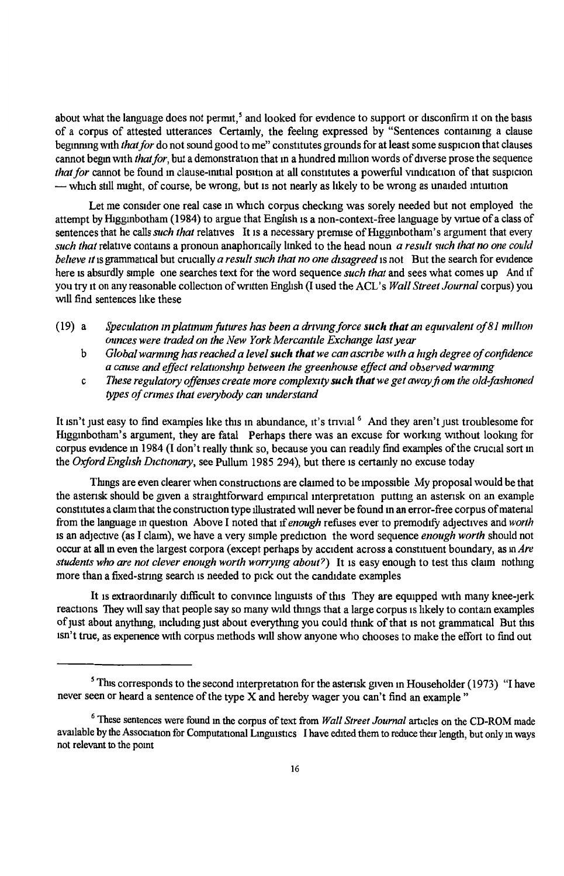about what the language does not pernut, *s* and looked for evidence to support or disconfirm 1t on the basts of a corpus of attested utterances Certainly, the feehng expressed by "Sentences contairung a clause beginning with *that for* do not sound good to me" constitutes grounds for at least some suspicion that clauses cannot begin with *that for*, but a demonstration that in a hundred million words of diverse prose the sequence *that for cannot be found in clause-initial position at all constitutes a powerful vindication of that suspicion* - which still might, of course, be wrong, but is not nearly as likely to be wrong as unaided intuition

Let me consider one real case m which corpus checking was sorely needed but not employed the attempt by Higginbotham (1984) to argue that English is a non-context-free language by virtue of a class of sentences that he calls *such that* relatives It is a necessary premise of Higginbotham's argument that every *such that relative contains a pronoun anaphorically linked to the head noun <i>a result such that no one could beileve 1t* 1s grammatical but crucially *a result such that no one disagreed* 1s not But the search for evidence here is absurdly simple one searches text for the word sequence *such that* and sees what comes up And if you try it on any reasonable collection of written English (I used the ACL's *Wall Street Journal* corpus) you will find sentences hke these

- $(19)$  a *Speculation in platinum futures has been a driving force such that an equivalent of 81 million ounces were traded on the New York Mercantile Exchange last year* 
	- b *Global warmmg has reached a level such that we can ascribe with a high degree of confidence a cause and effect relat10nsh1p between the greenhouse effect and ofo.erved warm mg*
	- c *These regulatory offenses create more complexity such that we get away fiom the old-fashwned types of crimes that everybody can understand*

It isn't just easy to find examples like this in abundance, it's trivial <sup>6</sup> And they aren't just troublesome for Htggmbotham's argument, they are fatal Perhaps there was an excuse for workmg without lookmg for corpus evidence in 1984 (I don't really think so, because you can readily find examples of the crucial sort in the Oxford English Dictionary, see Pullum 1985 294), but there is certainly no excuse today

Tlungs are even clearer when constructions are claimed to be unpossible My proposal would be that the asterisk should be given a straightforward empirical interpretation putting an asterisk on an example constitutes a claim that the construction type illustrated will never be found in an error-free corpus of material from the language in question Above I noted that if *enough* refuses ever to premodify adjectives and *worth* 1s an adjective (as I claim), we have a very simple prediction the word sequence *enough worth* should not occur at all m even the largest corpora (except perhaps by accident across a constituent boundary, as in *Are students who are not clever enough worth worrymg about?)* It 1s easy enough to test this claim nothmg more than a fixed-stnng search 1s needed to pick out the candidate examples

It is extraordinarily difficult to convince linguists of this They are equipped with many knee-jerk reactions They will say that people say so many wild things that a large corpus is likely to contain examples of just about anything, including just about everything you could think of that is not grammatical But this isn't true, as expenence with corpus methods will show anyone who chooses to make the effort to find out

<sup>&</sup>lt;sup>5</sup> This corresponds to the second interpretation for the asterisk given in Householder (1973) "I have never seen or heard a sentence of the type  $\overline{X}$  and hereby wager you can't find an example "

<sup>6</sup> These sentences were found m the corpus of text from *Wall Street Journal* articles on the CD-ROM made available by the Association for Computational Linguistics I have edited them to reduce their length, but only in ways not relevant to the pomt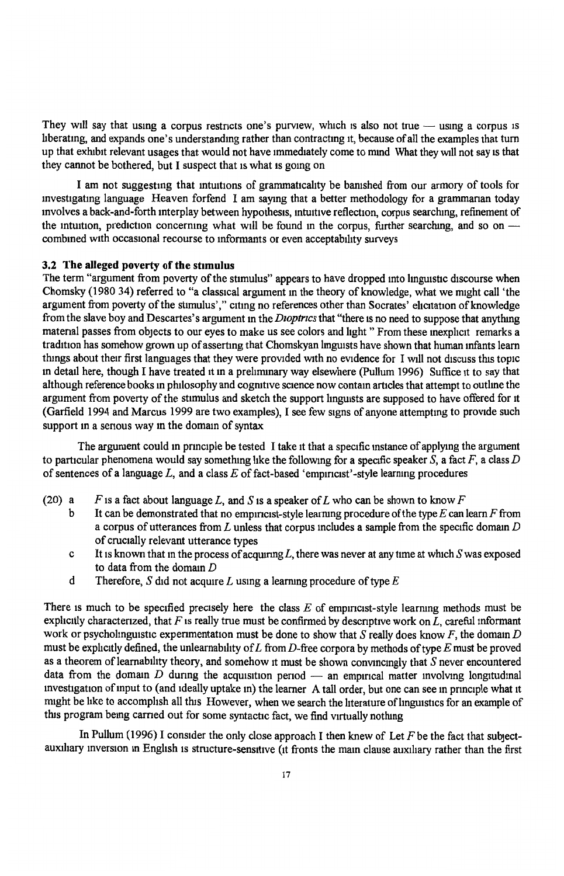They will say that using a corpus restricts one's purview, which is also not true  $-$  using a corpus is hberatmg, and expands one's understanding rather than contracting 1t, because of all the examples that turn up that exhibit relevant usages that would not have munediately come to mmd What they wtll not say is that they cannot be bothered, but I suspect that is what is going on

I am not suggestmg that intmttons of grammattcahty be barushed from our armory of tools for investigating language Heaven forfend I am saying that a better methodology for a grammanan today mvolves a back-and-forth interplay between hypothesis, mtuitive reflectmn, corpus searchmg, refinement of the intuition, prediction concerning what will be found in the corpus, further searching, and so on  $$ combmed with occasional recourse to informants or even acceptabihty surveys

## 3.2 The alleged poverty of the stimulus

The term "argument from poverty of the stimulus" appears to have dropped mto linguistic discourse when Chomsky (1980 34) referred to "a classical argument in the theory of knowledge, what we might call 'the argument from poverty of the stimulus'," citing no references other than Socrates' elicitation of knowledge from the slave boy and Descartes's argument in the *Dioptrics* that "there is no need to suppose that anything material passes from objects to our eyes to make us see colors and light " From these inexplicit remarks a tradition has somehow grown up of asserting that Chomskyan linguists have shown that human infants learn things about their first languages that they were provided with no evidence for I will not discuss this topic in detail here, though I have treated it in a preliminary way elsewhere (Pullum 1996) Suffice it to say that although reference books m philosophy and cogmttve science now contain articles that attempt to outhne the argument from poverty of the stimulus and sketch the support lmguists are supposed to have offered for 1t (Garfield 1994 and Marcus 1999 are two examples), I see few signs of anyone attempting to provide such support in a serious way in the domain of syntax

The argument could in principle be tested I take it that a specific instance of applying the argument to particular phenomena would say something hke the following for a specific speaker *S,* a fact *F,* a class *D*  of sentences of a language *L,* and a class *E* of fact-based 'empmc1st' -style learnmg procedures

- (20) a F is a fact about language L, and S is a speaker of L who can be shown to know  $F$ 
	- b It can be demonstrated that no empmcist-style leanung procedure of the type *E* can learn *F* from a corpus of utterances from *L* unless that corpus includes a sample from the specific domain *D*  of crucially relevant utterance types
	- c It ts known that m the process of acqumng *L,* there was never at any time at which *S* was exposed to data from the domam *D*
	- d Therefore, *S* did not acquire *L* using a learning procedure of type  $E$

There is much to be specified precisely here the class  $E$  of empiricist-style learning methods must be explicitly characterized, that *F* is really true must be confirmed by descriptive work on *L*, careful informant work or psycholinguistic experimentation must be done to show that  $S$  really does know  $F$ , the domain  $D$ must be exphcttly defined, the unlearnabthty of *L* from D-free corpora by methods of type *E* must be proved as a theorem of learnability theory, and somehow it must be shown convincingly that *S* never encountered data from the domain  $D$  during the acquisition period  $-$  an empirical matter involving longitudinal investigation of input to (and ideally uptake in) the learner A tall order, but one can see in principle what it might be like to accomplish all this However, when we search the literature of linguistics for an example of this program being carried out for some syntactic fact, we find virtually nothing

In Pullum (1996) I consider the only close approach I then knew of Let  $F$  be the fact that subjectauxihary inversion m Enghsh ts structure-sensitive (it fronts the mam clause aux1hary rather than the first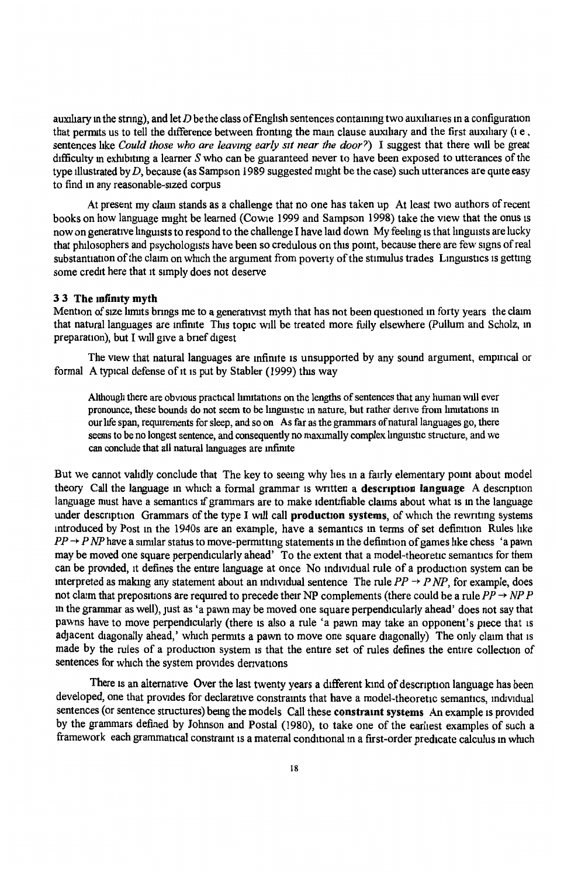auxihary m the stnng), and let *D* be the class ofEnghsh sentences contammg two auxihanes ma configuration that permits us to tell the difference between fronting the main clause auxiliary and the first auxiliary  $(i e, j)$ sentences hke *Could those who are leavmg early sit near the door?)* I suggest that there wdl be great difficulty m exhibiting a learner *S* who can be guaranteed never to have been exposed to utterances of the type illustrated by *D,* because (as Sampson 1989 suggested nught be the case) such utterances are quite easy to find m any reasonable-Sized corpus

At present my claun stands as a challenge that no one has taken up At least two authors of recent books on how language might be learned (Cowie 1999 and Sampson 1998) take the view that the onus is now on generative linguists to respond to the challenge I have laid down My feeling is that linguists are lucky that philosophers and psychologists have been so credulous on this pomt, because there are few signs of real substantiation of the claim on which the argument from poverty of the stimulus trades Linguistics is getting some credit here that it simply does not deserve

## 3 3 The mfimty myth

Mention of size limits brings me to a generativist myth that has not been questioned in forty years the claim that natural languages are mfirute This topic will be treated more fully elsewhere (Pullum and Scholz, m preparation), but I will give a brief digest

The view that natural languages are infinite is unsupported by any sound argument, empirical or formal A typical defense of it is put by Stabler (1999) this way

Although there are obvious practical limitations on the lengths of sentences that any human will ever pronounce, these bounds do not seem to be linguistic in nature, but rather derive from limitations in our life span, requirements for sleep, and so on As far as the grammars of natural languages go, there seems to be no longest sentence, and consequently no maximally complex linguistic structure, and we can conclude that all natural languages are infinite

But we cannot validly conclude that The key to seemg why hes m a fairly elementary pomt about model theory Call the language in which a formal grammar is written a **description language** A description language must have a semantics if grammars are to make identifiable claims about what is in the language under description Grammars of the type I will call production systems, of which the rewriting systems introduced by Post in the 1940s are an example, have a semantics in terms of set definition Rules like  $PP \rightarrow P NP$  have a similar status to move-permitting statements in the definition of games like chess 'a pawn may be moved one square perpendicularly ahead' To the extent that a model-theoretic semantics for them can be provided, it defines the entire language at once No individual rule of a production system can be interpreted as making any statement about an individual sentence The rule  $PP \rightarrow P NP$ , for example, does not claim that prepositions are required to precede their NP complements (there could be a rule  $PP \rightarrow NP P$ m the grammar as well), JUst as 'a pawn may be moved one square perpendicularly ahead' does not say that pawns have to move perpendicularly (there 1s also a rule 'a pawn may take an opponent's piece that is adjacent diagonally ahead,' which permits a pawn to move one square diagonally) The only claim that is made by the rules of a production system 1s that the entire set of rules defines the entire collection of sentences for which the system provides derivations

There is an alternative Over the last twenty years a different kind of description language has been developed, one that provides for declarative constraints that have a model-theoretic semantics, individual sentences (or sentence structures) being the models Call these constraint systems An example is provided by the grammars defined by Johnson and Postal (1980), to take one of the earliest examples of such a framework each grammatical constraint is a material conditional in a first-order predicate calculus in which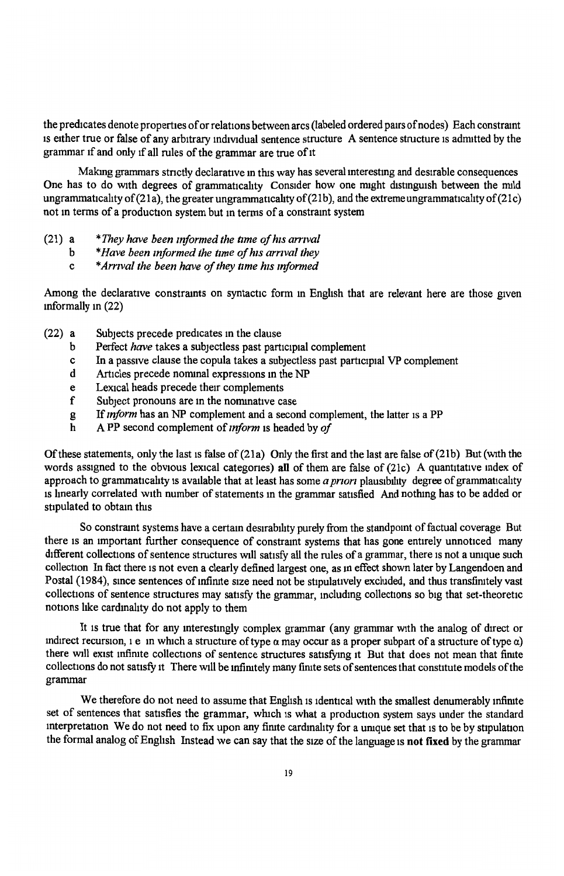the predicates denote properties of or relations between arcs (labeled ordered pairs of nodes) Each constramt 1s either true or false of any arbitrary mdividual sentence structure A sentence structure is adrmtted by the grammar if and only if all rules of the grammar are true of it

Making grammars stnctly declarative m this way has several mterestmg and desirable consequences One has to do with degrees of grammaticality Consider how one might distinguish between the mild ungrammaticality of  $(21a)$ , the greater ungrammaticality of  $(21b)$ , and the extreme ungrammaticality of  $(21c)$ not m terms of a production system but m terms of a constraint system

- (21) <sup>a</sup> *\*They have been informed the tlme of his arrival* 
	- b *\*Have been informed the tlme of his arnva/ they*
	- c \* *Amval the been have of they nme his informed*

Among the declarative constraints on syntactic form in English that are relevant here are those given mformally m (22)

- (22) a Subjects precede predicates m the clause
	- b Perfect *have* takes a subjectless past participial complement
	- c In a passive clause the copula takes a subjectless past participial VP complement
	- d Articles precede nominal expressions in the NP
	- e Lexical heads precede their complements
	- f Subject pronouns are in the nominative case
	- g If *mjorm* has an NP complement and a second complement, the latter is a PP
	- h A PP second complement of *mform* 1s headed by *of*

Of these statements, only the last is false of  $(21a)$  Only the first and the last are false of  $(21b)$  But (with the words assigned to the obvious lexical categories) all of them are false of (21c) A quantitative index of approach to grammaticality is available that at least has some *a priori* plausibility degree of grammaticality is lmearly correlated with number of statements m the grammar satisfied And nothmg has to be added or stipulated to obtam this

So constraint systems have a certain desirability purely from the standpoint of factual coverage But there is an important further consequence of constramt systems that has gone entirely unnoticed many different collections of sentence structures will satisfy all the rules of a grammar, there is not a unique such collection In fact there is not even a clearly defined largest one, as m effect shown later by Langendoen and Postal (1984), since sentences of infinite size need not be stipulatively excluded, and thus transfinitely vast collections of sentence structures may satisfy the grammar, including collections so big that set-theoretic notions like cardinality do not apply to them

It 1s true that for any mterestmgly complex grammar (any grammar with the analog of direct or mdirect recursion, 1 e m which a structure of type *a* may occur as a proper subpart of a structure of type a) there will exist infinite collections of sentence structures satisfying it But that does not mean that finite collections do not satisfy it There will be infinitely many finite sets of sentences that constitute models of the grammar

We therefore do not need to assume that English 1s identical with the smallest denumerably mfimte set of sentences that satisfies the grammar, which 1s what a production system says under the standard interpretation We do not need to fix upon any finite cardinality for a unique set that is to be by stipulation the formal analog of Engltsh Instead we can say that the size of the language is **not fixed** by the grammar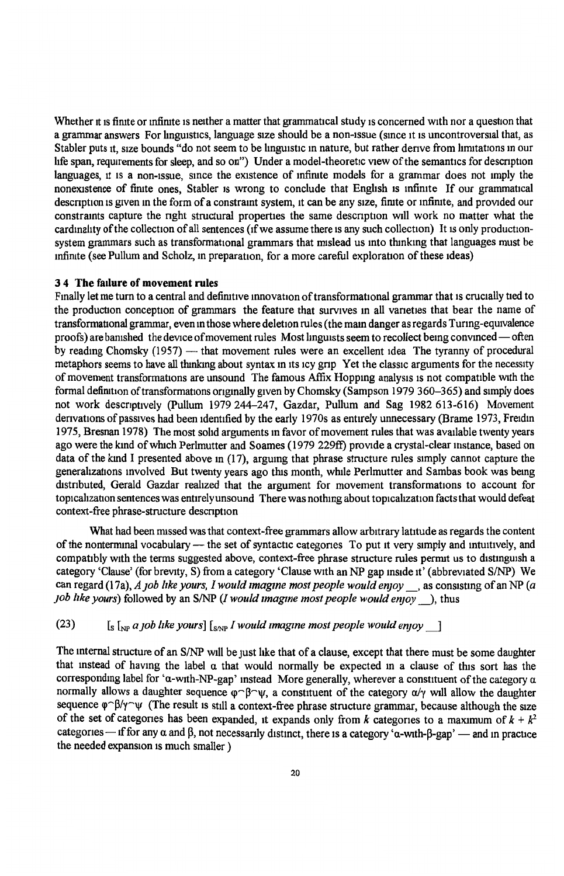Whether it is finite or infinite is neither a matter that grammatical study is concerned with nor a question that a grammar answers For linguistics, language size should be a non-issue (since it is uncontroversial that, as Stabler puts it, size bounds "do not seem to be linguistic in nature, but rather derive from limitations in our bfe span, requirements for sleep, and so on") Under a model-theoretic view of the semantics for description languages, it is a non-issue, since the existence of infinite models for a grammar does not imply the nonexistence of finite ones, Stabler is wrong to conclude that English is infinite If our grammatical description is given in the form of a constraint system, it can be any size, finite or infinite, and provided our constraints capture the right structural properties the same description will work no matter what the cardinality of the collection of all sentences (if we assume there is any such collection) It is only productionsystem grammars such as transformational grammars that mislead us mto thmkmg that languages must be mfimte (see Pullum and Scholz, m preparation, for a more careful exploration of these ideas)

#### **3 4** The **failure of** movement rules

Finally let me turn to a central and definitive innovation of transformational grammar that is crucially tied to the production conception of grammars the feature that survives m all vanettes that bear the name of transformational grammar, even in those where deletion rules (the main danger as regards Turing-equivalence proofs) are banished the device of movement rules Most linguists seem to recollect being convinced—often by reading Chomsky  $(1957)$  — that movement rules were an excellent idea The tyranny of procedural metaphors seems to have all thinking about syntax in its icy grip Yet the classic arguments for the necessity of movement transformations are unsound The famous Affix Hoppmg analysts 1s not compatible with the formal definition of transformations originally given by Chomsky (Sampson 1979 360-365) and simply does not work descriptively (Pullum 1979 244-247, Gazdar, Pullum and Sag 1982 613-616) Movement derivations of passives had been identified by the early 1970s as entirely unnecessary (Brame 1973, Freidin 1975, Bresnan 1978) The most sohd arguments m favor of movement rules that was available twenty years ago were the kmd of which Perlmutter and Soames (1979 229ff) provide a crystal-clear mstance, based on data of the kmd I presented above m (17), argumg that phrase structure rules simply cannot capture the generalizations mvolved But twenty years ago this month, wlnle Perlmutter and Sambas book was being distributed. Gerald Gazdar realized that the argument for movement transformations to account for topicalization sentences was entirely unsound There was nothing about topicalization facts that would defeat context-free phrase-structure description

What had been missed was that context-free grammars allow arbitrary latitude as regards the content of the nonterminal vocabulary -- the set of syntactic categories To put it very simply and intuitively, and compatibly with the terms suggested above, context-free phrase structure rules permit us to distinguish a category 'Clause' (for brevity, S) from a category 'Clause with an NP gap inside it' (abbreviated S/NP) We can regard (17a), *A 10b like yours, I would imagine most people would enjoy*, as consisting of an NP (a *job like yours*) followed by an S/NP *(I would imagine most people would enjoy*), thus

 $\text{C}(23)$  [s [NP *a 10b like yours]* [S<sub>ANP</sub> *I would imagine most people would enjoy* ]

The internal structure of an S/NP will be just like that of a clause, except that there must be some daughter that mstead of havmg the label a that would normally be expected m a clause of this sort has the corresponding label for 'a-with-NP-gap' instead More generally, wherever a constituent of the category  $\alpha$ normally allows a daughter sequence  $\varphi \sim \beta \sim \psi$ , a constituent of the category  $\alpha/\gamma$  will allow the daughter sequence  $\varphi \cap \beta/\gamma \sim \psi$  (The result is still a context-free phrase structure grammar, because although the size of the set of categones has been expanded, it expands only from *k* categones to a maximum of  $k + k^2$ categories - if for any  $\alpha$  and  $\beta$ , not necessarily distinct, there is a category 'a-with- $\beta$ -gap' - and in practice the needed expansion is much smaller )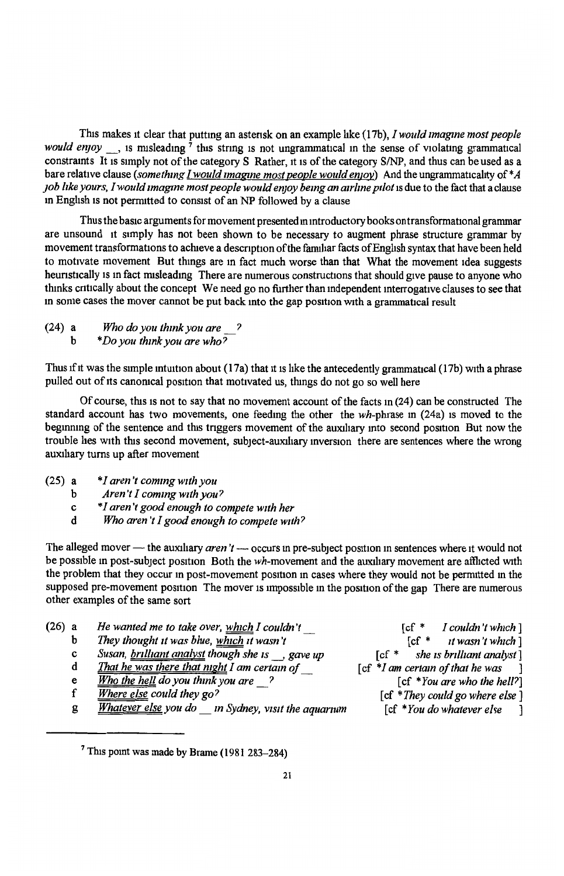This makes it clear that putting an asterisk on an example like (17b), *I would imagine most people would enjoy*, is misleading <sup>7</sup> this string is not ungrammatical in the sense of violating grammatical constraints It 1s simply not of the category S Rather, 1t 1s of the category S/NP, and thus can be used as <sup>a</sup> bare relative clause *(something I would imagine most people would enjoy)* And the ungrammaticality of \*A *]Oh bke yours, I would zmagme most people would enjoy bemg an air/me p1/ot* 1s due to the fact that a clause in English 1s not penmtted to consist of an NP followed by a clause

Thus the basic arguments for movement presented m introductory books on transformational grammar are unsound 1t simply has not been shown to be necessary to augment phrase structure grammar by movement transformations to achieve a description of the familiar facts of English syntax that have been held to motivate movement But things are in fact much worse than that What the movement idea suggests heuristically is in fact misleading There are numerous constructions that should give pause to anyone who thinks critically about the concept We need go no further than independent interrogative clauses to see that m some cases the mover cannot be put back mto the gap position with a grammatical result

(24) <sup>a</sup> b *Who do you thmk you are* ? *\*Do you thmk you are who?* 

Thus if it was the simple intuition about  $(17a)$  that it is like the antecedently grammatical  $(17b)$  with a phrase pulled out of its canonical position that motivated us, things do not go so well here

Of course, this 1s not to say that no movement account of the facts in (24) can be constructed The standard account has two movements, one feeding the other the  $wh$ -phrase in  $(24a)$  is moved to the beginning of the sentence and this triggers movement of the auxiliary into second position But now the trouble hes with this second movement, subject-auxiliary inversion there are sentences where the wrong auxiliary turns up after movement

- (25) <sup>a</sup> *\*I aren't commg with you* 
	- b *Aren 't I com mg with you?*
	- c *\*I aren 't good enough to compete w1th her*
	- d *Who aren 't I good enough to compete with?*

The alleged mover - the auxiliary *aren't* - occurs in pre-subject position in sentences where it would not be possible in post-subject position Both the wh-movement and the auxiliary movement are afflicted with the problem that they occur <sup>m</sup>post-movement position m cases where they would not be permitted m the supposed pre-movement position The mover is impossible in the position of the gap There are numerous other examples of the same sort

- (26) <sup>a</sup> *He wanted me to take over, which I couldn't* 
	- b *They thought 1t was blue, which zt wasn't* -
	- c *Susan, brilliant ana/yst though she 1s* \_\_, *gave up*
	- d *That he was there that mght I am certain of\_*
	- e *Who the hell do you thmk you are* \_?
	- f *Where else could they go?*
- $[cf * *t* wasn't which]$
- [cf \* *she 1s bnllrant analyst* ]
- [cf *\*I am certain of that he was* ]
	- [cf *\*You are who the hell?]*
	- [cf *\*They could go where else* J [cf \**You do whatever else* ]

g *Whatever else you do\_ m Sydney, v1s1t the aquarium* 

 $[cf * I couldn't which]$ 

 $7$  This point was made by Brame (1981 283-284)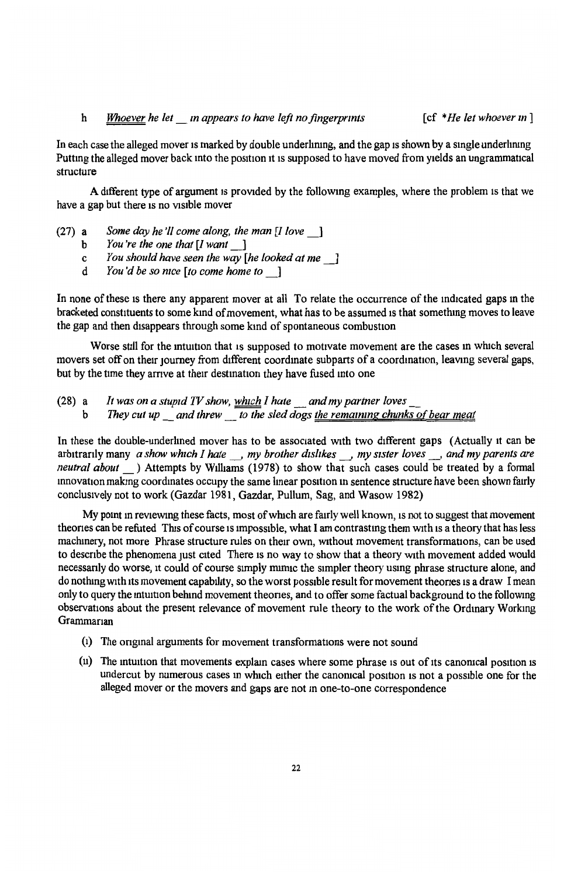## h *Whoever he let\_ m appears to have left no fingerprints* [cf *\*He let whoever m* ]

In each case the alleged mover is marked by double underlining, and the gap is shown by a single underlining Putting the alleged mover back into the position it is supposed to have moved from yields an ungrammatical structure

A different type of argument 1s provided by the followmg examples, where the problem 1s that we have a gap but there is no visible mover

- (27) a *Some day he 'II come along, the man [I love* \_]
	- b *You 're the one that [I want\_]*
	- c *You should have seen the way [he looked at me\_]*
	- d *You'd be so nrce [to come home to\_]*

In none of these is there any apparent mover at all To relate the occurrence of the indicated gaps in the bracketed constituents to some kmd of movement, what has to be assumed 1s that somethmg moves to leave the gap and then disappears through some kind of spontaneous combustion

Worse still for the intuition that is supposed to motivate movement are the cases in which several movers set off on their journey from different coordinate subparts of a coordination, leaving several gaps, but by the time they arrive at their destination they have fused into one

(28) a b *It was on a stupid TV show, which I hate* \_ *and my partner loves* \_ *They cut up and threw to the sled dogs the remaining chunks of bear meat* 

In these the double-underlined mover has to be associated with two different gaps (Actually 1t can be arbitranly many *a show which I hate* , *my brother dislikes* , *my sister loves* , *and my parents are neutral about* ) Attempts by Williams (1978) to show that such cases could be treated by a formal innovation making coordinates occupy the same linear position in sentence structure have been shown fairly conclusively not to work (Gazdar 1981, Gazdar, Pullum, Sag, and Wasow 1982)

My point in reviewing these facts, most of which are fairly well known, is not to suggest that movement theories can be refuted This of course is impossible, what I am contrasting them with is a theory that has less machinery, not more Phrase structure rules on their own, without movement transformations, can be used to describe the phenomena just cited There is no way to show that a theory with movement added would necessanly do worse, 1t could of course simply muruc the simpler theory usmg phrase structure alone, and do nothing with its movement capability, so the worst possible result for movement theories is a draw I mean only to query the mtmtton behind movement theones, and to offer some factual background to the following observations about the present relevance of movement rule theory to the work of the Ordinary Workmg Grammarian

- (1) The ongmal arguments for movement transformations were not sound
- $(u)$  The intuition that movements explain cases where some phrase is out of its canonical position is undercut by numerous cases in which either the canonical position is not a possible one for the alleged mover or the movers and gaps are not m one-to-one correspondence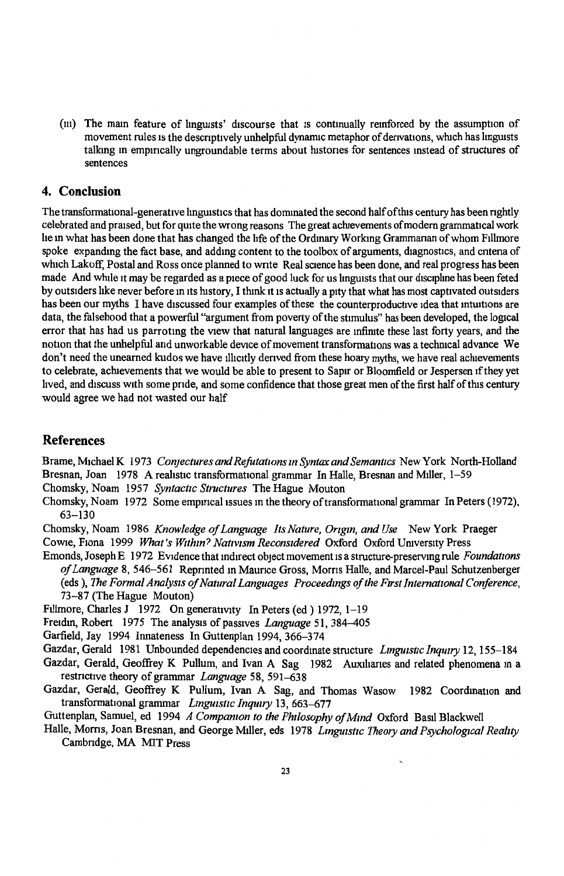(iii) The main feature of linguists' discourse that is continually reinforced by the assumption of movement rules is the descriptively unhelpful dynamic metaphor of derivations, which has linguists talkmg m empmcally ungroundable terms about histones for sentences mstead of structures of sentences

## **4. Conclusion**

The transformational-generative linguistics that has dominated the second half of this century has been rightly celebrated and praised, but for quite the wrong reasons The great achievements of modern grammatical work he in what has been done that has changed the life of the Ordinary Working Grammanan of whom Fillmore spoke expanding the fact base, and adding content to the toolbox of arguments, diagnostics, and cntena of which Lakoff, Postal and Ross once planned to write Real science has been done, and real progress has been made And while it may be regarded as a piece of good luck for us linguists that our discipline has been feted by outsiders hke never before m its history, I think 1t 1s actually a pity that what has most captivated outsiders has been our myths I have discussed four examples of these the counterproductive idea that intuitions are data, the falsehood that a powerful "argument from poverty of the stimulus" has been developed, the logical error that has had us parrotmg the view that natural languages are mfimte these last forty years, and the notion that the unhelpful and unworkable device of movement transformations was a techmcal advance We don't need the unearned kudos we have illicitly derived from these hoary myths, we have real achievements to celebrate, achievements that we would be able to present to Sapir or Bloomfield or Jespersen 1f they yet hved, and discuss with some pride, and some confidence that those great men of the first half of this century would agree we had not wasted our half

## **References**

Brame, Michael K 1973 *Con1ectures and Rejutatwns m Syntax and Semantics* New York North-Holland Bresnan, Joan 1978 A realistic transformational grammar In Halle, Bresnan and Miller, 1-59

Chomsky, Noam 1957 *Syntactic Structures* The Hague Mouton

Chomsky, Noam 1972 Some empirical issues in the theory of transformational grammar In Peters (1972), 63-130

Chomsky, Noam 1986 *Knowledge of Language Its Nature, Orzgm, and Use* New York Praeger Cowie, Fiona 1999 *What's Within? Nativism Reconsidered* Oxford Oxford University Press

Emonds, Joseph E 1972 Evidence that indirect object movement 1s a structure-preserving rule *Foundat10ns of Language* 8, 546-561 Reprinted m Maurice Gross, Morns Halle, and Marcel-Paul Schutzenberger (eds ), *The Formal Analysis of Natural Languages Proceedings of the First International Conference*, 73-87 (The Hague Mouton)

Fillmore, Charles J 1972 On generativity In Peters (ed ) 1972, 1-19

Freidin, Robert 1975 The analysis of passives *Language* 51, 384-405

Garfield, Jay 1994 Innateness In Guttenplan 1994, 366-374

Gazdar, Gerald 1981 Unbounded dependencies and coordmate structure *Lmgu1stic Inquiry* 12, 155-184 Gazdar, Gerald, Geoffrey K Pullum, and Ivan A Sag 1982 Auxilianes and related phenomena in a restncttve theory of grammar *Language* 58, 591-638

Gazdar, Gerald, Geoffrey K Pullum, Ivan A Sag, and Thomas Wasow 1982 Coordination and transformational grammar *Linguistic Inquiry* 13, 663-677

Guttenplan, Samuel, ed 1994 *A Compamon to the Philosophy of Mmd* Oxford Basil Blackwell

Halle, Moms, Joan Bresnan, and George Miller, eds 1978 *Lmguzstic Theory and Psychological Reallty*  Cambridge, MA MIT Press